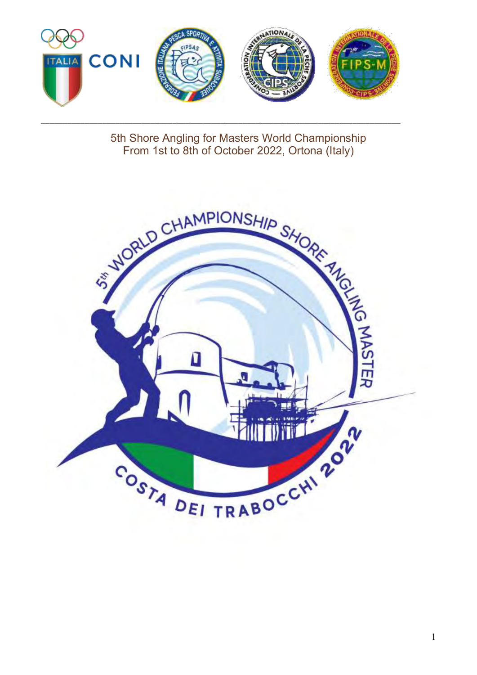

\_\_\_\_\_\_\_\_\_\_\_\_\_\_\_\_\_\_\_\_\_\_\_\_\_\_\_\_\_\_\_\_\_\_\_\_\_\_\_\_\_\_\_\_\_\_\_\_\_\_\_\_\_\_\_\_\_\_\_\_\_\_\_\_\_\_\_\_\_\_\_\_\_\_\_\_\_\_\_\_\_\_

5th Shore Angling for Masters World Championship<br>From 1st to 8th of October 2022, Ortona (Italy)

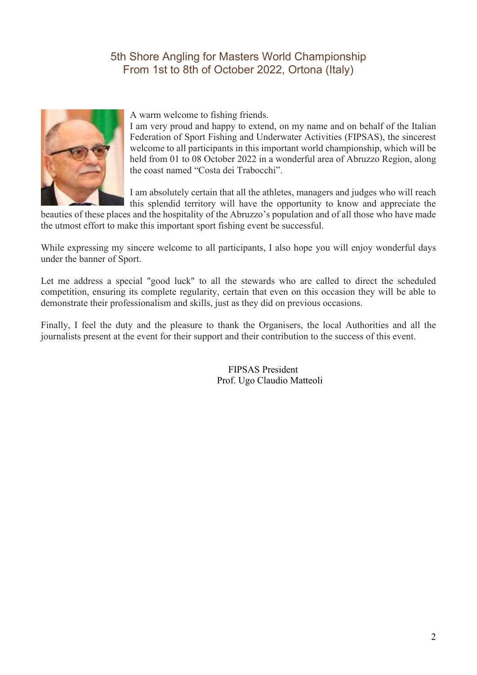

A warm welcome to fishing friends.

I am very proud and happy to extend, on my name and on behalf of the Italian Federation of Sport Fishing and Underwater Activities (FIPSAS), the sincerest welcome to all participants in this important world championship, which will be held from 01 to 08 October 2022 in a wonderful area of Abruzzo Region, along the coast named "Costa dei Trabocchi".

I am absolutely certain that all the athletes, managers and judges who will reach this splendid territory will have the opportunity to know and appreciate the

beauties of these places and the hospitality of the Abruzzo's population and of all those who have made the utmost effort to make this important sport fishing event be successful.

While expressing my sincere welcome to all participants, I also hope you will enjoy wonderful days under the banner of Sport.

Let me address a special "good luck" to all the stewards who are called to direct the scheduled competition, ensuring its complete regularity, certain that even on this occasion they will be able to demonstrate their professionalism and skills, just as they did on previous occasions.

Finally, I feel the duty and the pleasure to thank the Organisers, the local Authorities and all the journalists present at the event for their support and their contribution to the success of this event.

> FIPSAS President Prof. Ugo Claudio Matteoli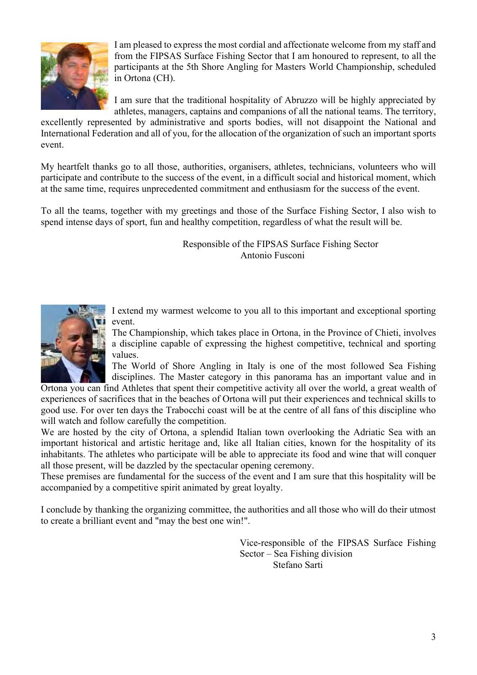

I am pleased to express the most cordial and affectionate welcome from my staff and from the FIPSAS Surface Fishing Sector that I am honoured to represent, to all the participants at the 5th Shore Angling for Masters World Championship, scheduled in Ortona (CH).

I am sure that the traditional hospitality of Abruzzo will be highly appreciated by athletes, managers, captains and companions of all the national teams. The territory,

excellently represented by administrative and sports bodies, will not disappoint the National and International Federation and all of you, for the allocation of the organization of such an important sports event.

My heartfelt thanks go to all those, authorities, organisers, athletes, technicians, volunteers who will participate and contribute to the success of the event, in a difficult social and historical moment, which at the same time, requires unprecedented commitment and enthusiasm for the success of the event.

To all the teams, together with my greetings and those of the Surface Fishing Sector, I also wish to spend intense days of sport, fun and healthy competition, regardless of what the result will be.

> Responsible of the FIPSAS Surface Fishing Sector Antonio Fusconi



I extend my warmest welcome to you all to this important and exceptional sporting event.

The Championship, which takes place in Ortona, in the Province of Chieti, involves a discipline capable of expressing the highest competitive, technical and sporting values.

The World of Shore Angling in Italy is one of the most followed Sea Fishing disciplines. The Master category in this panorama has an important value and in

Ortona you can find Athletes that spent their competitive activity all over the world, a great wealth of experiences of sacrifices that in the beaches of Ortona will put their experiences and technical skills to good use. For over ten days the Trabocchi coast will be at the centre of all fans of this discipline who will watch and follow carefully the competition.

We are hosted by the city of Ortona, a splendid Italian town overlooking the Adriatic Sea with an important historical and artistic heritage and, like all Italian cities, known for the hospitality of its inhabitants. The athletes who participate will be able to appreciate its food and wine that will conquer all those present, will be dazzled by the spectacular opening ceremony.

These premises are fundamental for the success of the event and I am sure that this hospitality will be accompanied by a competitive spirit animated by great loyalty.

I conclude by thanking the organizing committee, the authorities and all those who will do their utmost to create a brilliant event and "may the best one win!".

> Vice-responsible of the FIPSAS Surface Fishing Sector – Sea Fishing division Stefano Sarti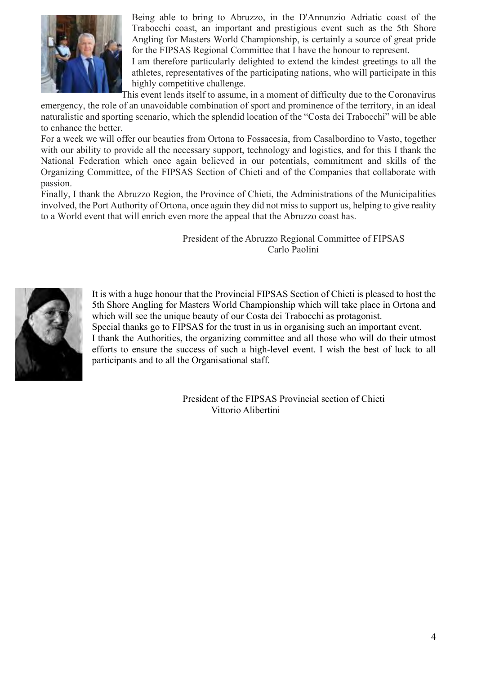

Being able to bring to Abruzzo, in the D'Annunzio Adriatic coast of the Trabocchi coast, an important and prestigious event such as the 5th Shore Angling for Masters World Championship, is certainly a source of great pride for the FIPSAS Regional Committee that I have the honour to represent.

I am therefore particularly delighted to extend the kindest greetings to all the athletes, representatives of the participating nations, who will participate in this highly competitive challenge.

This event lends itself to assume, in a moment of difficulty due to the Coronavirus emergency, the role of an unavoidable combination of sport and prominence of the territory, in an ideal naturalistic and sporting scenario, which the splendid location of the "Costa dei Trabocchi" will be able to enhance the better.

For a week we will offer our beauties from Ortona to Fossacesia, from Casalbordino to Vasto, together with our ability to provide all the necessary support, technology and logistics, and for this I thank the National Federation which once again believed in our potentials, commitment and skills of the Organizing Committee, of the FIPSAS Section of Chieti and of the Companies that collaborate with passion.

Finally, I thank the Abruzzo Region, the Province of Chieti, the Administrations of the Municipalities involved, the Port Authority of Ortona, once again they did not miss to support us, helping to give reality to a World event that will enrich even more the appeal that the Abruzzo coast has.

> President of the Abruzzo Regional Committee of FIPSAS Carlo Paolini



It is with a huge honour that the Provincial FIPSAS Section of Chieti is pleased to host the 5th Shore Angling for Masters World Championship which will take place in Ortona and which will see the unique beauty of our Costa dei Trabocchi as protagonist. Special thanks go to FIPSAS for the trust in us in organising such an important event. I thank the Authorities, the organizing committee and all those who will do their utmost efforts to ensure the success of such a high-level event. I wish the best of luck to all

participants and to all the Organisational staff.

President of the FIPSAS Provincial section of Chieti Vittorio Alibertini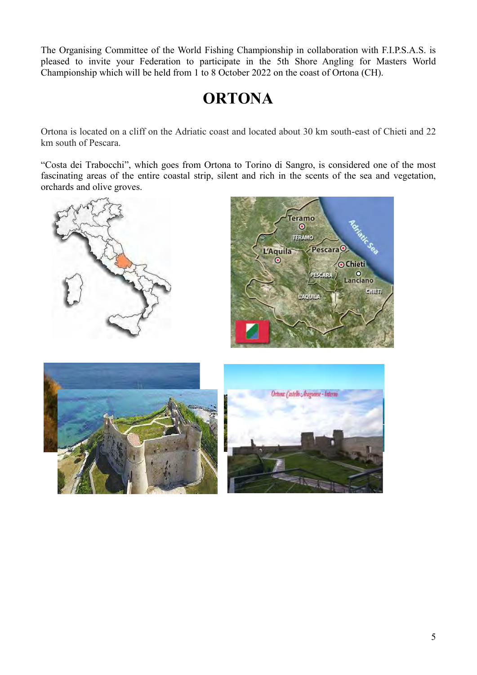The Organising Committee of the World Fishing Championship in collaboration with F.I.P.S.A.S. is pleased to invite your Federation to participate in the 5th Shore Angling for Masters World Championship which will be held from 1 to 8 October 2022 on the coast of Ortona (CH).

# **ORTONA**

Ortona is located on a cliff on the Adriatic coast and located about 30 km south-east of Chieti and 22 km south of Pescara.

"Costa dei Trabocchi", which goes from Ortona to Torino di Sangro, is considered one of the most fascinating areas of the entire coastal strip, silent and rich in the scents of the sea and vegetation, orchards and olive groves.





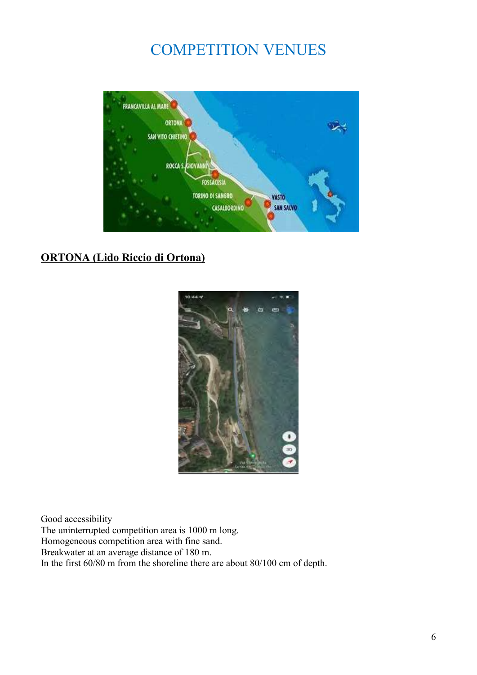## COMPETITION VENUES



### **ORTONA (Lido Riccio di Ortona)**



Good accessibility The uninterrupted competition area is 1000 m long. Homogeneous competition area with fine sand. Breakwater at an average distance of 180 m. In the first 60/80 m from the shoreline there are about 80/100 cm of depth.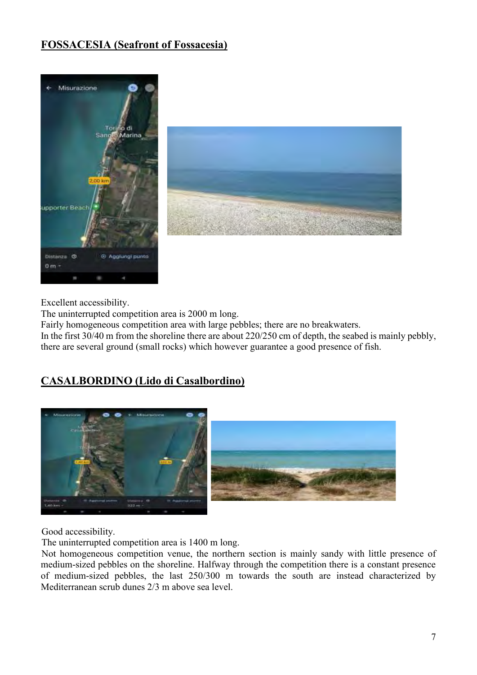## **FOSSACESIA (Seafront of Fossacesia)**



Excellent accessibility.

The uninterrupted competition area is 2000 m long.

Fairly homogeneous competition area with large pebbles; there are no breakwaters.

In the first 30/40 m from the shoreline there are about 220/250 cm of depth, the seabed is mainly pebbly, there are several ground (small rocks) which however guarantee a good presence of fish.

## **CASALBORDINO (Lido di Casalbordino)**



Good accessibility.

The uninterrupted competition area is 1400 m long.

Not homogeneous competition venue, the northern section is mainly sandy with little presence of medium-sized pebbles on the shoreline. Halfway through the competition there is a constant presence of medium-sized pebbles, the last 250/300 m towards the south are instead characterized by Mediterranean scrub dunes 2/3 m above sea level.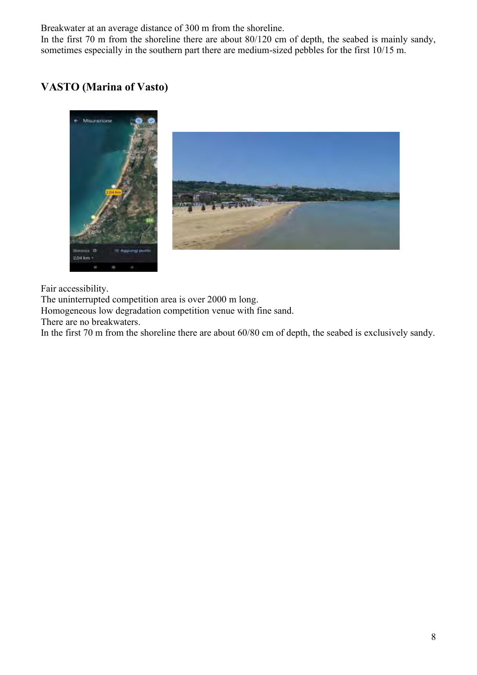Breakwater at an average distance of 300 m from the shoreline.

In the first 70 m from the shoreline there are about 80/120 cm of depth, the seabed is mainly sandy, sometimes especially in the southern part there are medium-sized pebbles for the first 10/15 m.

## **VASTO (Marina of Vasto)**



Fair accessibility.

The uninterrupted competition area is over 2000 m long.

Homogeneous low degradation competition venue with fine sand.

There are no breakwaters.

In the first 70 m from the shoreline there are about 60/80 cm of depth, the seabed is exclusively sandy.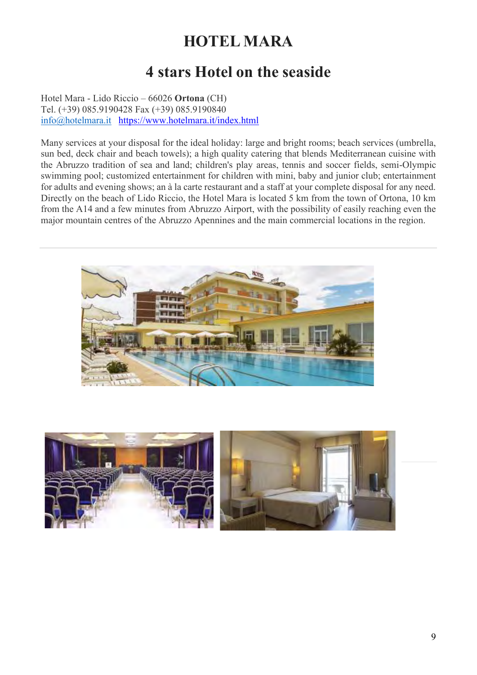# **HOTEL MARA**

# **4 stars Hotel on the seaside**

Hotel Mara - Lido Riccio – 66026 **Ortona** (CH) Tel. (+39) 085.9190428 Fax (+39) 085.9190840 [info@hotelmara.it](mailto:info@hotelmara.it) <https://www.hotelmara.it/index.html>

Many services at your disposal for the ideal holiday: large and bright rooms; beach services (umbrella, sun bed, deck chair and beach towels); a high quality catering that blends Mediterranean cuisine with the Abruzzo tradition of sea and land; children's play areas, tennis and soccer fields, semi-Olympic swimming pool; customized entertainment for children with mini, baby and junior club; entertainment for adults and evening shows; an à la carte restaurant and a staff at your complete disposal for any need. Directly on the beach of Lido Riccio, the Hotel Mara is located 5 km from the town of Ortona, 10 km from the A14 and a few minutes from Abruzzo Airport, with the possibility of easily reaching even the major mountain centres of the Abruzzo Apennines and the main commercial locations in the region.



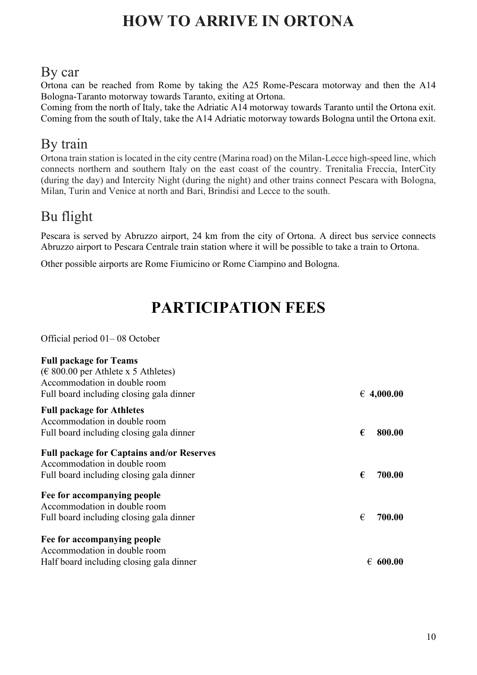# **HOW TO ARRIVE IN ORTONA**

## By car

Ortona can be reached from Rome by taking the A25 Rome-Pescara motorway and then the A14 Bologna-Taranto motorway towards Taranto, exiting at Ortona.

Coming from the north of Italy, take the Adriatic A14 motorway towards Taranto until the Ortona exit. Coming from the south of Italy, take the A14 Adriatic motorway towards Bologna until the Ortona exit.

## By train

Ortona train station is located in the city centre (Marina road) on the Milan-Lecce high-speed line, which connects northern and southern Italy on the east coast of the country. Trenitalia Freccia, InterCity (during the day) and Intercity Night (during the night) and other trains connect Pescara with Bologna, Milan, Turin and Venice at north and Bari, Brindisi and Lecce to the south.

## Bu flight

Pescara is served by Abruzzo airport, 24 km from the city of Ortona. A direct bus service connects Abruzzo airport to Pescara Centrale train station where it will be possible to take a train to Ortona.

Other possible airports are Rome Fiumicino or Rome Ciampino and Bologna.

# **PARTICIPATION FEES**

Official period 01– 08 October

| <b>Full package for Teams</b>                                    |                     |
|------------------------------------------------------------------|---------------------|
| $(\text{\textsterling} 800.00 \text{ per}$ Athlete x 5 Athletes) |                     |
| Accommodation in double room                                     |                     |
| Full board including closing gala dinner                         | $\epsilon$ 4,000.00 |
| <b>Full package for Athletes</b>                                 |                     |
| Accommodation in double room                                     |                     |
| Full board including closing gala dinner                         | €<br>800.00         |
| <b>Full package for Captains and/or Reserves</b>                 |                     |
| Accommodation in double room                                     |                     |
| Full board including closing gala dinner                         | €<br>700.00         |
| Fee for accompanying people                                      |                     |
| Accommodation in double room                                     |                     |
| Full board including closing gala dinner                         | €<br>700.00         |
| Fee for accompanying people                                      |                     |
| Accommodation in double room                                     |                     |
| Half board including closing gala dinner                         | €<br>600.00         |
|                                                                  |                     |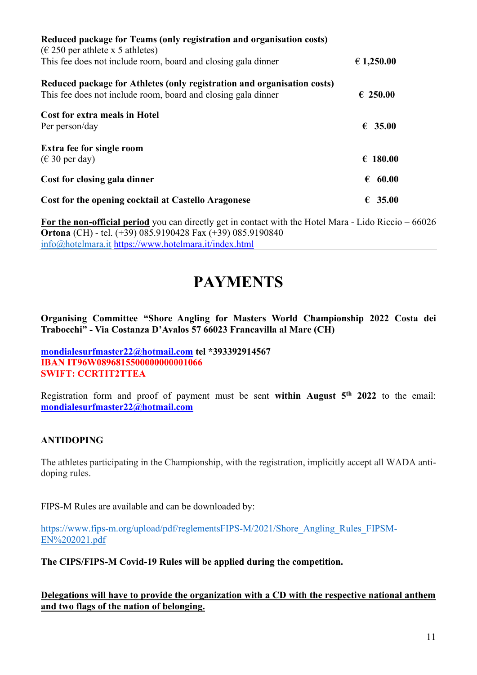| Reduced package for Teams (only registration and organisation costs)<br>$(\epsilon 250$ per athlete x 5 athletes)                        |            |
|------------------------------------------------------------------------------------------------------------------------------------------|------------|
| This fee does not include room, board and closing gala dinner                                                                            | € 1,250.00 |
| Reduced package for Athletes (only registration and organisation costs)<br>This fee does not include room, board and closing gala dinner | € 250.00   |
| Cost for extra meals in Hotel<br>Per person/day                                                                                          | € 35.00    |
| <b>Extra fee for single room</b><br>$(\in$ 30 per day)                                                                                   | € 180.00   |
| Cost for closing gala dinner                                                                                                             | 60.00      |
| Cost for the opening cocktail at Castello Aragonese                                                                                      | € 35.00    |

**For the non-official period** you can directly get in contact with the Hotel Mara - Lido Riccio – 66026 **Ortona** (CH) - tel. (+39) 085.9190428 Fax (+39) 085.9190840 [info@hotelmara.it](mailto:info@hotelmara.it) <https://www.hotelmara.it/index.html>

## **PAYMENTS**

**Organising Committee "Shore Angling for Masters World Championship 2022 Costa dei Trabocchi" - Via Costanza D'Avalos 57 66023 Francavilla al Mare (CH)**

**[mondialesurfmaster22@hotmail.com](mailto:mondialesurfmaster22@hotmail.com) tel \*393392914567 IBAN IT96W0896815500000000001066 SWIFT: CCRTIT2TTEA**

Registration form and proof of payment must be sent **within August 5th 2022** to the email: **[mondialesurfmaster22@hotmail.com](mailto:Mondialesurfmaster22@hotmail.com)**

### **ANTIDOPING**

The athletes participating in the Championship, with the registration, implicitly accept all WADA antidoping rules.

FIPS-M Rules are available and can be downloaded by:

[https://www.fips-m.org/upload/pdf/reglementsFIPS-M/2021/Shore\\_Angling\\_Rules\\_FIPSM-](https://www.fips-m.org/upload/pdf/reglementsFIPS-M/2021/Shore_Angling_Rules_FIPSM-EN%202021.pdf)[EN%202021.pdf](https://www.fips-m.org/upload/pdf/reglementsFIPS-M/2021/Shore_Angling_Rules_FIPSM-EN%202021.pdf)

**The CIPS/FIPS-M Covid-19 Rules will be applied during the competition.**

**Delegations will have to provide the organization with a CD with the respective national anthem and two flags of the nation of belonging.**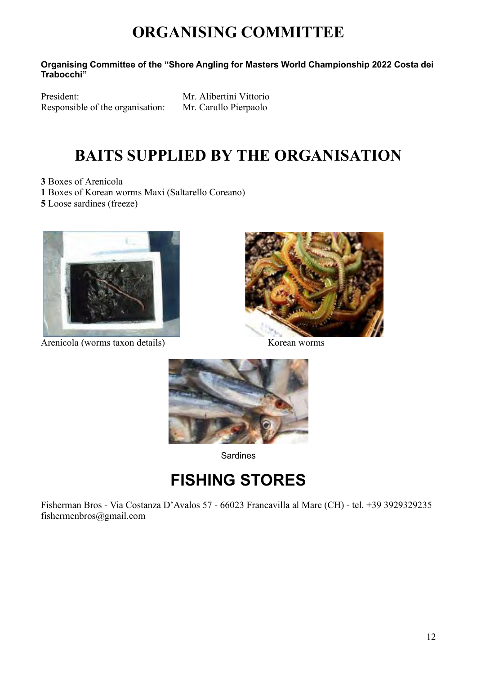# **ORGANISING COMMITTEE**

**Organising Committee of the "Shore Angling for Masters World Championship 2022 Costa dei Trabocchi"**

President: Mr. Alibertini Vittorio Responsible of the organisation: Mr. Carullo Pierpaolo

# **BAITS SUPPLIED BY THE ORGANISATION**

**3** Boxes of Arenicola **1** Boxes of Korean worms Maxi (Saltarello Coreano) **5** Loose sardines (freeze)



Arenicola (worms taxon details) Korean worms





Sardines

# **FISHING STORES**

Fisherman Bros - Via Costanza D'Avalos 57 - 66023 Francavilla al Mare (CH) - tel. +39 3929329235 fishermenbros@gmail.com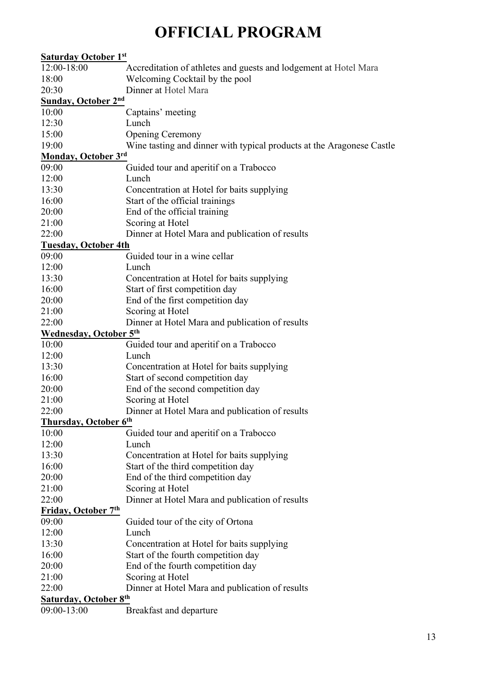# **OFFICIAL PROGRAM**

| <b>Saturday October 1st</b>   |                                                                       |
|-------------------------------|-----------------------------------------------------------------------|
| 12:00-18:00                   | Accreditation of athletes and guests and lodgement at Hotel Mara      |
| 18:00                         | Welcoming Cocktail by the pool                                        |
| 20:30                         | Dinner at Hotel Mara                                                  |
| <b>Sunday, October 2nd</b>    |                                                                       |
| 10:00                         | Captains' meeting                                                     |
| 12:30                         | Lunch                                                                 |
| 15:00                         | <b>Opening Ceremony</b>                                               |
| 19:00                         | Wine tasting and dinner with typical products at the Aragonese Castle |
| <b>Monday, October 3rd</b>    |                                                                       |
| 09:00                         | Guided tour and aperitif on a Trabocco                                |
| 12:00                         | Lunch                                                                 |
| 13:30                         | Concentration at Hotel for baits supplying                            |
| 16:00                         | Start of the official trainings                                       |
| 20:00                         | End of the official training                                          |
| 21:00                         | Scoring at Hotel                                                      |
| 22:00                         | Dinner at Hotel Mara and publication of results                       |
| <b>Tuesday, October 4th</b>   |                                                                       |
| 09:00                         | Guided tour in a wine cellar                                          |
| 12:00                         | Lunch                                                                 |
| 13:30                         | Concentration at Hotel for baits supplying                            |
| 16:00                         | Start of first competition day                                        |
| 20:00                         | End of the first competition day                                      |
| 21:00                         | Scoring at Hotel                                                      |
| 22:00                         | Dinner at Hotel Mara and publication of results                       |
| <b>Wednesday, October 5th</b> |                                                                       |
| 10:00                         | Guided tour and aperitif on a Trabocco                                |
| 12:00                         | Lunch                                                                 |
| 13:30                         | Concentration at Hotel for baits supplying                            |
| 16:00                         | Start of second competition day                                       |
| 20:00                         | End of the second competition day                                     |
| 21:00                         | Scoring at Hotel                                                      |
| 22:00                         | Dinner at Hotel Mara and publication of results                       |
| Thursday, October 6th         |                                                                       |
| 10:00                         | Guided tour and aperitif on a Trabocco                                |
| 12:00                         | Lunch                                                                 |
| 13:30                         | Concentration at Hotel for baits supplying                            |
| 16:00                         | Start of the third competition day                                    |
| 20:00                         | End of the third competition day                                      |
| 21:00                         | Scoring at Hotel                                                      |
| 22:00                         | Dinner at Hotel Mara and publication of results                       |
| Friday, October 7th           |                                                                       |
| 09:00                         | Guided tour of the city of Ortona                                     |
| 12:00                         | Lunch                                                                 |
| 13:30                         | Concentration at Hotel for baits supplying                            |
| 16:00                         | Start of the fourth competition day                                   |
| 20:00                         | End of the fourth competition day                                     |
| 21:00                         | Scoring at Hotel                                                      |
| 22:00                         | Dinner at Hotel Mara and publication of results                       |
| <b>Saturday, October 8th</b>  |                                                                       |
| 09:00-13:00                   | Breakfast and departure                                               |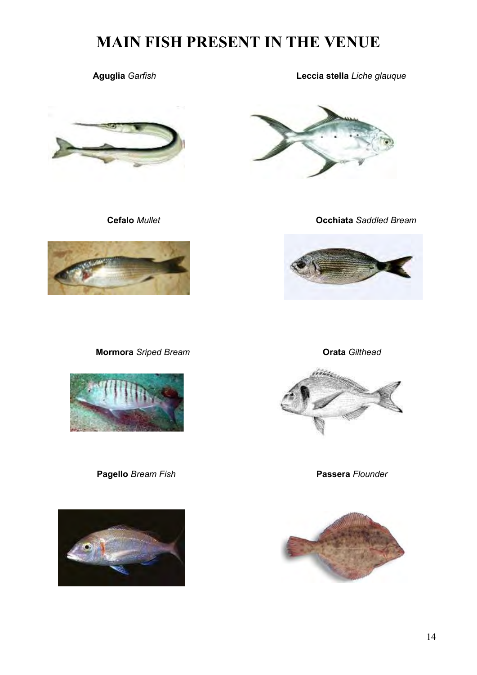# **MAIN FISH PRESENT IN THE VENUE**





 **Aguglia** *Garfish* **Leccia stella** *Liche glauque*



 **Cefalo** *Mullet* **Occhiata** *Saddled Bream*



**Mormora** *Sriped Bream* **Orata** *Gilthead*







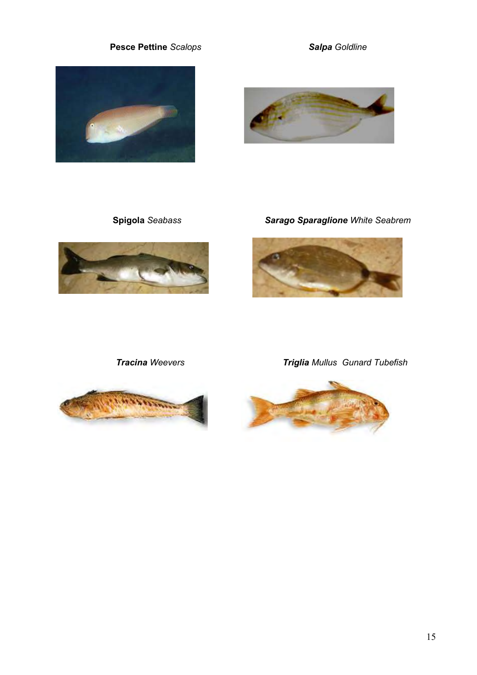### **Pesce Pettine** *Scalops Salpa Goldline*







 **Spigola** *Seabass Sarago Sparaglione White Seabrem*





 *Tracina Weevers Triglia Mullus Gunard Tubefish*

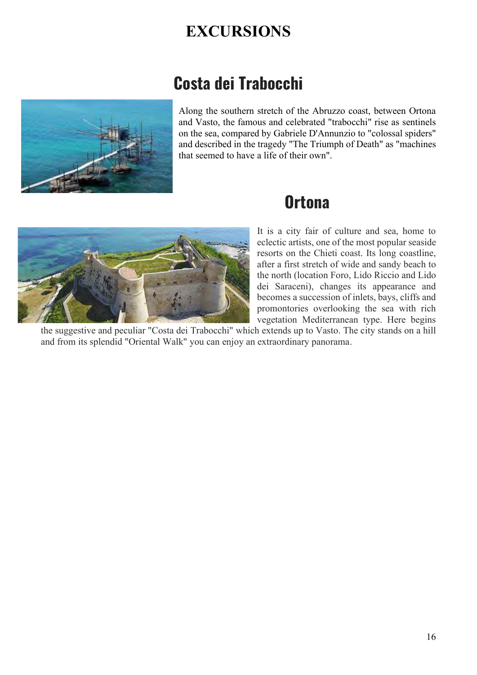# **EXCURSIONS**

# **Costa dei Trabocchi**



Along the southern stretch of the Abruzzo coast, between Ortona and Vasto, the famous and celebrated "trabocchi" rise as sentinels on the sea, compared by Gabriele D'Annunzio to "colossal spiders" and described in the tragedy "The Triumph of Death" as "machines that seemed to have a life of their own".

# **Ortona**



It is a city fair of culture and sea, home to eclectic artists, one of the most popular seaside resorts on the Chieti coast. Its long coastline, after a first stretch of wide and sandy beach to the north (location Foro, Lido Riccio and Lido dei Saraceni), changes its appearance and becomes a succession of inlets, bays, cliffs and promontories overlooking the sea with rich vegetation Mediterranean type. Here begins

the suggestive and peculiar "Costa dei Trabocchi" which extends up to Vasto. The city stands on a hill and from its splendid "Oriental Walk" you can enjoy an extraordinary panorama.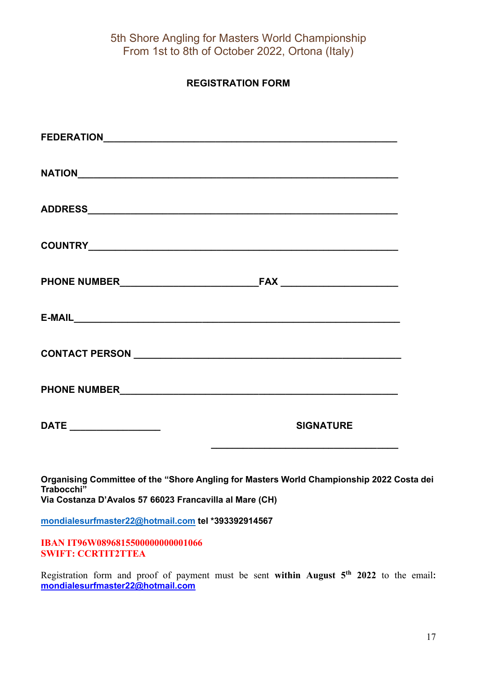### **REGISTRATION FORM**

|                                                                       | <b>SIGNATURE</b>                                                                         |
|-----------------------------------------------------------------------|------------------------------------------------------------------------------------------|
| Trabocchi"<br>Via Costanza D'Avalos 57 66023 Francavilla al Mare (CH) | Organising Committee of the "Shore Angling for Masters World Championship 2022 Costa dei |

**[mondialesurfmaster22@hotmail.com](mailto:mondialesurfmaster22@hotmail.com) tel \*393392914567**

**IBAN IT96W0896815500000000001066 SWIFT: CCRTIT2TTEA**

Registration form and proof of payment must be sent **within August 5th 2022** to the email**: [mondialesurfmaster22@hotmail.com](mailto:Mondialesurfmaster22@hotmail.com)**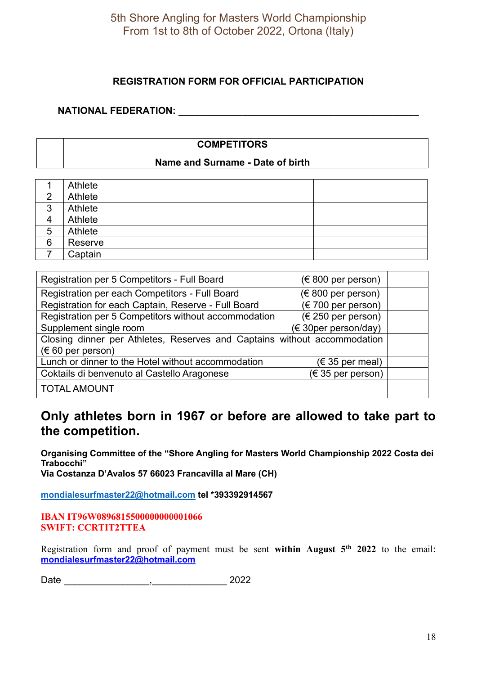### **REGISTRATION FORM FOR OFFICIAL PARTICIPATION**

### **NATIONAL FEDERATION: \_\_\_\_\_\_\_\_\_\_\_\_\_\_\_\_\_\_\_\_\_\_\_\_\_\_\_\_\_\_\_\_\_\_\_\_\_\_\_\_\_\_\_\_\_**

### **COMPETITORS**

### **Name and Surname - Date of birth**

|        | Athlete |
|--------|---------|
| ⌒      | Athlete |
| 2<br>C | Athlete |
| 4      | Athlete |
| 5      | Athlete |
| 6      | Reserve |
|        | Captain |

| Registration per 5 Competitors - Full Board                              | $(\in 800$ per person) |  |
|--------------------------------------------------------------------------|------------------------|--|
| Registration per each Competitors - Full Board                           | $(\in 800$ per person) |  |
| Registration for each Captain, Reserve - Full Board                      | (€ 700 per person)     |  |
| Registration per 5 Competitors without accommodation                     | (€ 250 per person)     |  |
| Supplement single room                                                   | (€ 30per person/day)   |  |
| Closing dinner per Athletes, Reserves and Captains without accommodation |                        |  |
| $(\in 60$ per person)                                                    |                        |  |
| Lunch or dinner to the Hotel without accommodation                       | $(\in$ 35 per meal)    |  |
| Coktails di benvenuto al Castello Aragonese                              | $(\in$ 35 per person)  |  |
| <b>TOTAL AMOUNT</b>                                                      |                        |  |

## **Only athletes born in 1967 or before are allowed to take part to the competition.**

**Organising Committee of the "Shore Angling for Masters World Championship 2022 Costa dei Trabocchi" Via Costanza D'Avalos 57 66023 Francavilla al Mare (CH)** 

**[mondialesurfmaster22@hotmail.com](mailto:mondialesurfmaster22@hotmail.com) tel \*393392914567**

**IBAN IT96W0896815500000000001066 SWIFT: CCRTIT2TTEA**

Registration form and proof of payment must be sent **within August 5th 2022** to the email**: [mondialesurfmaster22@hotmail.com](mailto:Mondialesurfmaster22@hotmail.com)**

Date \_\_\_\_\_\_\_\_\_\_\_\_\_\_\_\_,\_\_\_\_\_\_\_\_\_\_\_\_\_\_ 2022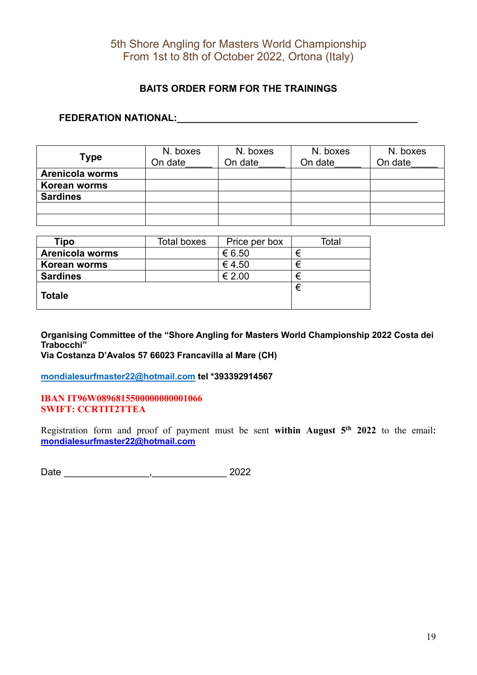### **BAITS ORDER FORM FOR THE TRAININGS**

### **FEDERATION NATIONAL:\_\_\_\_\_\_\_\_\_\_\_\_\_\_\_\_\_\_\_\_\_\_\_\_\_\_\_\_\_\_\_\_\_\_\_\_\_\_\_\_\_\_\_\_\_**

| <b>Type</b>            | N. boxes<br>On date | N. boxes<br>On date | N. boxes<br>On date | N. boxes<br>On date |
|------------------------|---------------------|---------------------|---------------------|---------------------|
| <b>Arenicola worms</b> |                     |                     |                     |                     |
| Korean worms           |                     |                     |                     |                     |
| <b>Sardines</b>        |                     |                     |                     |                     |
|                        |                     |                     |                     |                     |
|                        |                     |                     |                     |                     |

| Tipo                   | <b>Total boxes</b> | Price per box | Total |
|------------------------|--------------------|---------------|-------|
| <b>Arenicola worms</b> |                    | € 6.50        | €     |
| Korean worms           |                    | €4.50         | €     |
| <b>Sardines</b>        |                    | € 2.00        | €     |
| <b>Totale</b>          |                    |               | €     |

**Organising Committee of the "Shore Angling for Masters World Championship 2022 Costa dei Trabocchi"**

**Via Costanza D'Avalos 57 66023 Francavilla al Mare (CH)** 

**[mondialesurfmaster22@hotmail.com](mailto:mondialesurfmaster22@hotmail.com) tel \*393392914567**

**IBAN IT96W0896815500000000001066 SWIFT: CCRTIT2TTEA**

Registration form and proof of payment must be sent **within August 5th 2022** to the email**: [mondialesurfmaster22@hotmail.com](mailto:Mondialesurfmaster22@hotmail.com)**

Date \_\_\_\_\_\_\_\_\_\_\_\_\_\_\_\_,\_\_\_\_\_\_\_\_\_\_\_\_\_\_ 2022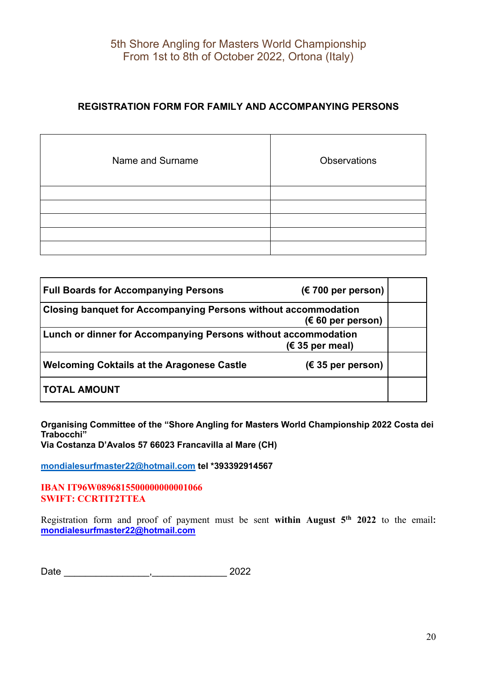### **REGISTRATION FORM FOR FAMILY AND ACCOMPANYING PERSONS**

| Name and Surname | <b>Observations</b> |
|------------------|---------------------|
|                  |                     |
|                  |                     |
|                  |                     |
|                  |                     |
|                  |                     |

| <b>Full Boards for Accompanying Persons</b>                           | $(\epsilon$ 700 per person) |  |
|-----------------------------------------------------------------------|-----------------------------|--|
| <b>Closing banquet for Accompanying Persons without accommodation</b> | $(60 \text{ per person})$   |  |
| <b>Lunch or dinner for Accompanying Persons without accommodation</b> | $(\epsilon$ 35 per meal)    |  |
| <b>Welcoming Coktails at the Aragonese Castle</b>                     | $(\epsilon$ 35 per person)  |  |
| <b>TOTAL AMOUNT</b>                                                   |                             |  |

**Organising Committee of the "Shore Angling for Masters World Championship 2022 Costa dei Trabocchi"**

**Via Costanza D'Avalos 57 66023 Francavilla al Mare (CH)** 

**[mondialesurfmaster22@hotmail.com](mailto:mondialesurfmaster22@hotmail.com) tel \*393392914567**

**IBAN IT96W0896815500000000001066 SWIFT: CCRTIT2TTEA**

Registration form and proof of payment must be sent **within August 5th 2022** to the email**: [mondialesurfmaster22@hotmail.com](mailto:Mondialesurfmaster22@hotmail.com)**

Date \_\_\_\_\_\_\_\_\_\_\_\_\_\_\_\_,\_\_\_\_\_\_\_\_\_\_\_\_\_\_ 2022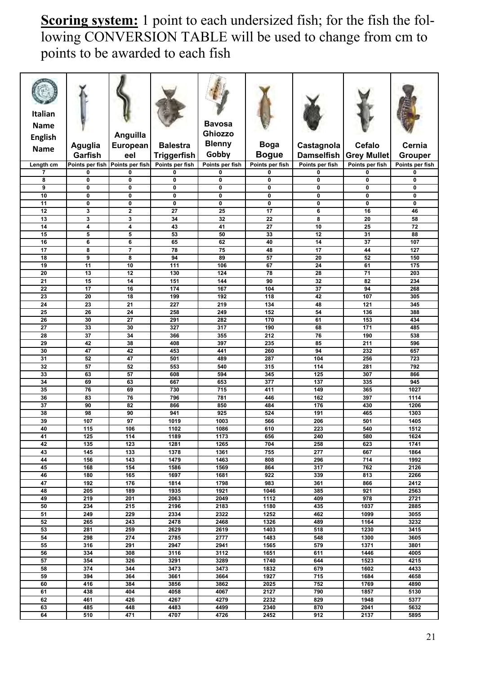**Scoring system:** 1 point to each undersized fish; for the fish the following CONVERSION TABLE will be used to change from cm to points to be awarded to each fish

| <b>Italian</b><br><b>Name</b><br><b>English</b><br><b>Name</b> | Aguglia                         | Anguilla<br>European    | <b>Balestra</b>    | <b>Bavosa</b><br><b>Ghiozzo</b><br><b>Blenny</b> | <b>Boga</b>     | Castagnola        | <b>Cefalo</b>      | Cernia          |
|----------------------------------------------------------------|---------------------------------|-------------------------|--------------------|--------------------------------------------------|-----------------|-------------------|--------------------|-----------------|
|                                                                | Garfish                         | eel                     | <b>Triggerfish</b> | Gobby                                            | <b>Bogue</b>    | <b>Damselfish</b> | <b>Grey Mullet</b> | <b>Grouper</b>  |
| Length cm                                                      | Points per fish Points per fish |                         | Points per fish    | Points per fish                                  | Points per fish | Points per fish   | Points per fish    | Points per fish |
| $\overline{7}$                                                 | 0                               | 0                       | 0                  | 0                                                | 0               | 0                 | 0                  | 0               |
| 8                                                              | 0                               | $\mathbf 0$             | $\mathbf 0$        | 0                                                | $\pmb{0}$       | 0                 | 0                  | $\bf{0}$        |
| 9                                                              | $\mathbf 0$                     | $\mathbf 0$             | 0                  | $\mathbf 0$                                      | $\mathbf{0}$    | $\mathbf 0$       | 0                  | $\mathbf 0$     |
| 10                                                             | $\pmb{0}$                       | $\mathbf 0$             | $\mathbf 0$        | 0                                                | $\mathbf 0$     | 0                 | 0                  | $\mathbf 0$     |
| 11                                                             | 0                               | $\mathbf 0$             | $\mathbf 0$        | 0                                                | $\mathbf 0$     | 0                 | 0                  | $\mathbf 0$     |
| $\overline{12}$                                                | 3                               | $\overline{\mathbf{2}}$ | $\overline{27}$    | $\overline{25}$                                  | 17              | $\overline{6}$    | 16                 | 46              |
| 13                                                             | $\overline{\mathbf{3}}$         |                         | 34                 | 32                                               |                 |                   | 20                 |                 |
|                                                                |                                 | 3                       |                    |                                                  | 22              | 8                 |                    | 58              |
| 14                                                             | 4                               | $\overline{\bf 4}$      | 43                 | 41                                               | 27              | 10                | 25                 | 72              |
| 15                                                             | 5                               | 5                       | 53                 | 50                                               | 33              | 12                | 31                 | 88              |
| 16                                                             | 6                               | 6                       | 65                 | 62                                               | 40              | 14                | 37                 | 107             |
| $\overline{17}$                                                | $\overline{\mathbf{8}}$         | $\overline{7}$          | 78                 | 75                                               | 48              | 17                | 44                 | 127             |
| 18                                                             | 9                               | 8                       | 94                 | 89                                               | 57              | 20                | 52                 | 150             |
| 19                                                             | 11                              | 10                      | 111                | 106                                              | 67              | 24                | 61                 | 175             |
| 20                                                             | 13                              | 12                      | 130                | 124                                              | 78              | 28                | 71                 | 203             |
| 21                                                             | 15                              | 14                      | 151                | 144                                              | 90              | 32                | 82                 | 234             |
| 22                                                             | 17                              | 16                      | 174                | 167                                              | 104             | 37                | 94                 | 268             |
| 23                                                             | 20                              | 18                      | 199                | 192                                              | 118             | 42                | 107                | 305             |
| 24                                                             | 23                              | 21                      | 227                | 219                                              | 134             | 48                | 121                | 345             |
| 25                                                             | 26                              | 24                      | 258                | 249                                              | 152             | 54                | 136                | 388             |
| 26                                                             | 30                              | 27                      | 291                | 282                                              | 170             | 61                | 153                | 434             |
| 27                                                             | 33                              | 30                      | 327                | 317                                              | 190             | 68                | 171                | 485             |
| 28                                                             | 37                              | 34                      | 366                | 355                                              | 212             | 76                | 190                | 538             |
| 29                                                             | 42                              | 38                      |                    | 397                                              | 235             | 85                | 211                | 596             |
| 30                                                             | 47                              | $\overline{42}$         | 408<br>453         | 441                                              | 260             | 94                | 232                | 657             |
|                                                                |                                 |                         |                    |                                                  |                 |                   |                    |                 |
| 31                                                             | 52                              | 47                      | 501                | 489                                              | 287             | 104               | 256                | 723             |
| 32                                                             | 57                              | 52                      | 553                | 540                                              | 315             | 114               | 281                | 792             |
| 33                                                             | 63                              | 57                      | 608                | 594                                              | 345             | 125               | 307                | 866             |
| 34                                                             | 69                              | 63                      | 667                | 653                                              | 377             | 137               | 335                | 945             |
| 35                                                             | 76                              | 69                      | 730                | 715                                              | 411             | 149               | 365                | 1027            |
| 36                                                             | 83                              | 76                      | 796                | 781                                              | 446             | 162               | 397                | 1114            |
| 37                                                             | 90                              | 82                      | 866                | 850                                              | 484             | 176               | 430                | 1206            |
| 38                                                             | 98                              | 90                      | 941                | 925                                              | 524             | 191               | 465                | 1303            |
| 39                                                             | 107                             | 97                      | 1019               | 1003                                             | 566             | 206               | 501                | 1405            |
| 40                                                             | $\frac{115}{115}$               | 106                     | 1102               | 1086                                             | 610             | 223               | 540                | 1512            |
| 41                                                             | 125                             | 114                     | 1189               | 1173                                             | 656             | 240               | 580                | 1624            |
| 42                                                             | 135                             | 123                     | 1281               | 1265                                             | 704             | 258               | 623                | 1741            |
| 43                                                             | 145                             | 133                     | 1378               | 1361                                             | 755             | 277               | 667                | 1864            |
| 44                                                             | 156                             | 143                     | 1479               | 1463                                             | 808             | 296               | 714                | 1992            |
| 45                                                             | 168                             | 154                     | 1586               | 1569                                             | 864             | 317               | 762                | 2126            |
| 46                                                             | 180                             | 165                     | 1697               | 1681                                             | 922             | 339               | 813                | 2266            |
| 47                                                             | 192                             | 176                     | 1814               | 1798                                             | 983             | 361               | 866                | 2412            |
| 48                                                             | 205                             | 189                     | 1935               | 1921                                             | 1046            | 385               | 921                | 2563            |
| 49                                                             | 219                             | 201                     | 2063               | 2049                                             | 1112            | 409               | 978                | 2721            |
| 50                                                             | 234                             | 215                     | 2196               | 2183                                             | 1180            | 435               | 1037               | 2885            |
| 51                                                             | 249                             | 229                     | 2334               | 2322                                             | 1252            | 462               | 1099               | 3055            |
| 52                                                             | 265                             | 243                     | 2478               | 2468                                             | 1326            | 489               | 1164               | 3232            |
| 53                                                             | 281                             | 259                     | 2629               | 2619                                             | 1403            | 518               | 1230               | 3415            |
| 54                                                             | 298                             | 274                     | 2785               | 2777                                             | 1483            | 548               | 1300               | 3605            |
|                                                                |                                 |                         |                    |                                                  |                 |                   |                    |                 |
| 55<br>56                                                       | 316                             | 291                     | 2947               | 2941                                             | 1565            | 579               | 1371               | 3801            |
|                                                                | 334                             | 308                     | 3116               | 3112                                             | 1651            | 611               | 1446               | 4005            |
| ${\bf 57}$                                                     | 354                             | 326                     | 3291               | 3289                                             | 1740            | 644               | 1523               | 4215            |
| 58                                                             | 374                             | 344                     | 3473               | 3473                                             | 1832            | 679               | 1602               | 4433            |
| 59                                                             | 394                             | 364                     | 3661               | 3664                                             | 1927            | 715               | 1684               | 4658            |
| 60                                                             | 416                             | 384                     | 3856               | 3862                                             | 2025            | 752               | 1769               | 4890            |
| 61                                                             | 438                             | 404                     | 4058               | 4067                                             | 2127            | 790               | 1857               | 5130            |
| 62                                                             | 461                             | 426                     | 4267               | 4279                                             | 2232            | 829               | 1948               | 5377            |
| 63                                                             | 485                             | 448                     | 4483               | 4499                                             | 2340            | 870               | 2041               | 5632            |
| 64                                                             | 510                             | 471                     | 4707               | 4726                                             | 2452            | 912               | 2137               | 5895            |
|                                                                |                                 |                         |                    |                                                  |                 |                   |                    |                 |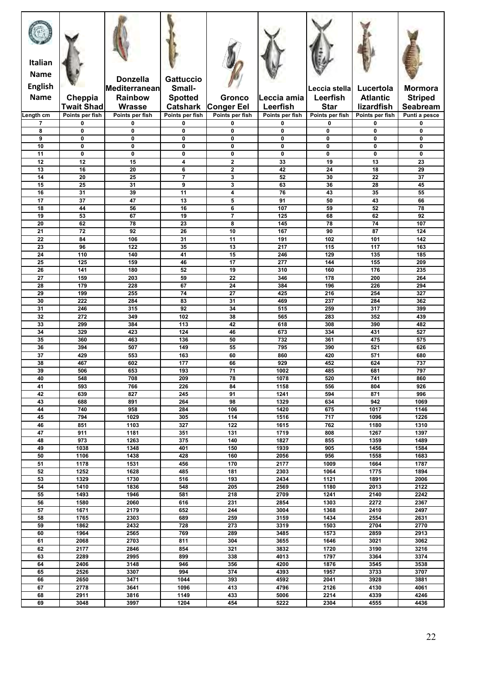| Italian<br><b>Name</b><br><b>English</b><br><b>Name</b> |                              | <b>Donzella</b><br>Mediterranean<br><b>Rainbow</b> | <b>Gattuccio</b><br>Small-        |                                                    | Leccia amia       | Leccia stella<br>Leerfish | Lucertola<br><b>Atlantic</b> | Mormora                           |
|---------------------------------------------------------|------------------------------|----------------------------------------------------|-----------------------------------|----------------------------------------------------|-------------------|---------------------------|------------------------------|-----------------------------------|
|                                                         | Cheppia<br><b>Twait Shad</b> | <b>Wrasse</b>                                      | <b>Spotted</b><br><b>Catshark</b> | Gronco<br><b>Conger Eel</b>                        | Leerfish          | <b>Star</b>               | lizardfish                   | <b>Striped</b><br><b>Seabream</b> |
| Length cm                                               | Points per fish              | Points per fish                                    | Points per fish                   | Points per fish                                    | Points per fish   | Points per fish           | Points per fish              | Punti a pesce                     |
| 7                                                       | 0                            | 0                                                  | 0                                 | 0                                                  | 0                 | 0                         | 0                            | 0                                 |
| 8<br>9                                                  | $\mathbf{0}$<br>0            | $\mathbf 0$<br>$\mathbf{0}$                        | $\mathbf 0$<br>0                  | $\mathbf{0}$<br>0                                  | $\mathbf{0}$<br>0 | $\mathbf{0}$<br>0         | 0<br>0                       | 0<br>0                            |
| 10                                                      | 0                            | $\mathbf{0}$                                       | $\mathbf 0$                       | 0                                                  | $\mathbf 0$       | 0                         | $\mathbf 0$                  | $\mathbf 0$                       |
| 11                                                      | $\mathbf{0}$                 | $\mathbf{0}$<br>15                                 | $\mathbf 0$                       | 0                                                  | $\mathbf 0$       | 0                         | 0                            | $\mathbf 0$                       |
| 12<br>13                                                | 12<br>16                     | $\overline{20}$                                    | 4<br>6                            | $\overline{\mathbf{2}}$<br>$\overline{\mathbf{2}}$ | 33<br>42          | 19<br>24                  | 13<br>18                     | 23<br>29                          |
| 14                                                      | $\overline{20}$              | 25                                                 | $\overline{\mathbf{z}}$           | $\overline{\mathbf{3}}$                            | 52                | 30                        | $\overline{22}$              | $\overline{37}$                   |
| 15<br>16                                                | 25<br>31                     | 31<br>39                                           | 9<br>11                           | 3<br>4                                             | 63<br>76          | 36<br>43                  | 28<br>35                     | 45<br>55                          |
| 17                                                      | 37                           | 47                                                 | 13                                | 5                                                  | 91                | 50                        | 43                           | 66                                |
| 18                                                      | 44                           | 56                                                 | 16                                | $6\phantom{1}6$                                    | 107               | 59                        | 52                           | 78                                |
| 19                                                      | 53                           | 67                                                 | 19                                | $\overline{7}$<br>8                                | 125               | 68                        | 62                           | 92                                |
| 20<br>$\overline{21}$                                   | 62<br>$\overline{72}$        | 78<br>92                                           | 23<br>26                          | 10                                                 | 145<br>167        | 78<br>90                  | 74<br>$\overline{87}$        | 107<br>124                        |
| 22                                                      | 84                           | 106                                                | 31                                | 11                                                 | 191               | 102                       | 101                          | 142                               |
| 23                                                      | 96                           | 122                                                | 35                                | 13                                                 | 217               | 115                       | 117                          | 163                               |
| 24<br>25                                                | 110<br>125                   | 140<br>159                                         | 41<br>46                          | 15<br>17                                           | 246<br>277        | 129<br>144                | 135<br>155                   | 185<br>209                        |
| 26                                                      | 141                          | 180                                                | 52                                | 19                                                 | 310               | 160                       | 176                          | 235                               |
| $\overline{27}$                                         | 159                          | 203                                                | 59                                | 22                                                 | 346               | 178                       | 200                          | 264                               |
| 28                                                      | 179                          | 228                                                | 67                                | 24                                                 | 384               | 196                       | 226                          | 294                               |
| 29<br>30                                                | 199<br>222                   | 255<br>284                                         | 74<br>83                          | 27<br>31                                           | 425<br>469        | 216<br>237                | 254<br>284                   | 327<br>362                        |
| 31                                                      | 246                          | 315                                                | 92                                | 34                                                 | 515               | 259                       | 317                          | 399                               |
| 32                                                      | 272                          | 349                                                | 102                               | 38                                                 | 565               | 283                       | 352                          | 439                               |
| 33<br>34                                                | 299<br>329                   | 384<br>423                                         | 113<br>124                        | 42<br>46                                           | 618<br>673        | 308<br>334                | 390<br>431                   | 482<br>527                        |
| 35                                                      | 360                          | 463                                                | 136                               | 50                                                 | 732               | 361                       | 475                          | 575                               |
| 36                                                      | 394                          | 507                                                | 149                               | 55                                                 | 795               | 390                       | 521                          | 626                               |
| 37<br>38                                                | 429<br>467                   | 553<br>602                                         | 163<br>177                        | 60<br>66                                           | 860<br>929        | 420<br>452                | 571<br>624                   | 680<br>737                        |
| 39                                                      | 506                          | 653                                                | 193                               | 71                                                 | 1002              | 485                       | 681                          | 797                               |
| 40                                                      | 548                          | 708                                                | 209                               | 78                                                 | 1078              | 520                       | 741                          | 860                               |
| 41                                                      | 593                          | 766                                                | 226                               | 84                                                 | 1158              | 556                       | 804                          | 926                               |
| 42<br>43                                                | 639<br>688                   | 827<br>891                                         | 245<br>264                        | 91<br>98                                           | 1241<br>1329      | 594<br>634                | 871<br>942                   | 996<br>1069                       |
| 44                                                      | 740                          | 958                                                | 284                               | 106                                                | 1420              | 675                       | 1017                         | 1146                              |
| 45                                                      | 794                          | 1029                                               | 305                               | 114                                                | 1516              | 717                       | 1096                         | 1226                              |
| 46<br>47                                                | 851<br>911                   | 1103<br>1181                                       | 327<br>351                        | $\overline{122}$<br>131                            | 1615<br>1719      | 762<br>808                | 1180<br>1267                 | 1310<br>1397                      |
| 48                                                      | 973                          | 1263                                               | 375                               | 140                                                | 1827              | 855                       | 1359                         | 1489                              |
| 49                                                      | 1038                         | 1348                                               | 401                               | 150                                                | 1939              | 905                       | 1456                         | 1584                              |
| 50<br>51                                                | 1106<br>1178                 | 1438<br>1531                                       | 428<br>456                        | 160<br>170                                         | 2056<br>2177      | 956<br>1009               | 1558<br>1664                 | 1683<br>1787                      |
| 52                                                      | 1252                         | 1628                                               | 485                               | 181                                                | 2303              | 1064                      | 1775                         | 1894                              |
| 53                                                      | 1329                         | 1730                                               | 516                               | 193                                                | 2434              | 1121                      | 1891                         | 2006                              |
| 54                                                      | 1410                         | 1836                                               | 548                               | 205                                                | 2569              | 1180                      | 2013                         | 2122                              |
| 55<br>56                                                | 1493<br>1580                 | 1946<br>2060                                       | 581<br>616                        | 218<br>231                                         | 2709<br>2854      | 1241<br>1303              | 2140<br>2272                 | 2242<br>2367                      |
| 57                                                      | 1671                         | 2179                                               | 652                               | 244                                                | 3004              | 1368                      | 2410                         | 2497                              |
| 58                                                      | 1765                         | 2303                                               | 689                               | 259                                                | 3159              | 1434                      | 2554                         | 2631                              |
| 59<br>60                                                | 1862<br>1964                 | 2432<br>2565                                       | 728<br>769                        | 273<br>289                                         | 3319<br>3485      | 1503<br>1573              | 2704<br>2859                 | 2770<br>2913                      |
| 61                                                      | 2068                         | 2703                                               | 811                               | 304                                                | 3655              | 1646                      | 3021                         | 3062                              |
| 62                                                      | 2177                         | 2846                                               | 854                               | 321                                                | 3832              | 1720                      | 3190                         | 3216                              |
| 63<br>64                                                | 2289<br>2406                 | 2995<br>3148                                       | 899<br>946                        | 338<br>356                                         | 4013<br>4200      | 1797<br>1876              | 3364<br>3545                 | 3374<br>3538                      |
| 65                                                      | 2526                         | 3307                                               | 994                               | 374                                                | 4393              | 1957                      | 3733                         | 3707                              |
| 66                                                      | 2650                         | 3471                                               | 1044                              | 393                                                | 4592              | 2041                      | 3928                         | 3881                              |
| 67                                                      | 2778                         | 3641                                               | 1096                              | 413                                                | 4796              | 2126                      | 4130                         | 4061                              |
| 68<br>69                                                | 2911<br>3048                 | 3816<br>3997                                       | 1149<br>1204                      | 433<br>454                                         | 5006<br>5222      | 2214<br>2304              | 4339<br>4555                 | 4246<br>4436                      |
|                                                         |                              |                                                    |                                   |                                                    |                   |                           |                              |                                   |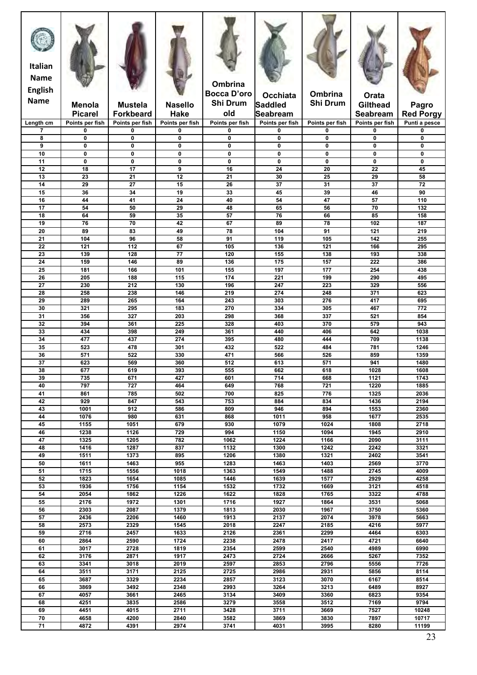| <b>Italian</b><br><b>Name</b><br><b>English</b><br><b>Name</b> | <b>Menola</b><br><b>Picarel</b> | <b>Mustela</b><br><b>Forkbeard</b> | <b>Nasello</b><br><b>Hake</b> | Ombrina<br><b>Bocca D'oro</b><br>Shi Drum<br>old | Occhiata<br>Saddled<br><b>Seabream</b> | Ombrina<br><b>Shi Drum</b> | Orata<br><b>Gilthead</b><br>Seabream | Pagro<br><b>Red Porgy</b> |
|----------------------------------------------------------------|---------------------------------|------------------------------------|-------------------------------|--------------------------------------------------|----------------------------------------|----------------------------|--------------------------------------|---------------------------|
| Length cm                                                      | Points per fish                 | Points per fish                    | Points per fish               | Points per fish                                  | Points per fish                        | Points per fish            | Points per fish                      | Punti a pesce             |
| $\overline{7}$                                                 | $\mathbf 0$                     | 0                                  | 0                             | 0                                                | 0                                      | 0                          | 0                                    | 0                         |
| 8                                                              | $\mathbf 0$                     | 0                                  | 0                             | 0                                                | $\mathbf{0}$                           | $\mathbf{0}$               | 0                                    | $\mathbf{0}$              |
| 9<br>10                                                        | $\mathbf 0$<br>0                | 0<br>0                             | 0<br>0                        | 0<br>0                                           | $\mathbf 0$<br>$\mathbf 0$             | 0<br>0                     | $\mathbf 0$<br>0                     | 0<br>0                    |
| 11                                                             | $\mathbf 0$                     | 0                                  | 0                             | 0                                                | $\mathbf 0$                            | 0                          | 0                                    | $\mathbf{0}$              |
| 12                                                             | 18                              | 17                                 | 9                             | 16                                               | 24                                     | 20                         | 22                                   | 45                        |
| 13                                                             | 23                              | $\overline{21}$                    | 12                            | $\overline{21}$                                  | 30                                     | 25                         | 29                                   | 58                        |
| 14                                                             | 29                              | 27                                 | 15                            | 26                                               | 37                                     | 31                         | 37                                   | 72                        |
| 15                                                             | 36                              | 34                                 | 19<br>24                      | 33                                               | 45                                     | 39<br>47                   | 46                                   | 90                        |
| 16<br>17                                                       | 44<br>54                        | 41<br>50                           | 29                            | 40<br>48                                         | 54<br>65                               | 56                         | 57<br>70                             | 110<br>132                |
| 18                                                             | 64                              | 59                                 | 35                            | 57                                               | 76                                     | 66                         | 85                                   | 158                       |
| 19                                                             | 76                              | 70                                 | 42                            | 67                                               | 89                                     | 78                         | 102                                  | 187                       |
| 20                                                             | 89                              | 83                                 | 49                            | $\overline{78}$                                  | 104                                    | 91                         | 121                                  | 219                       |
| 21                                                             | 104                             | 96                                 | 58                            | 91                                               | 119                                    | 105                        | 142                                  | 255                       |
| $\overline{22}$<br>23                                          | 121<br>139                      | 112<br>128                         | 67<br>77                      | 105<br>120                                       | 136<br>155                             | 121<br>138                 | 166<br>193                           | 295<br>338                |
| 24                                                             | 159                             | 146                                | 89                            | 136                                              | 175                                    | 157                        | 222                                  | 386                       |
| 25                                                             | 181                             | 166                                | 101                           | 155                                              | 197                                    | 177                        | 254                                  | 438                       |
| 26                                                             | 205                             | 188                                | 115                           | 174                                              | 221                                    | 199                        | 290                                  | 495                       |
| 27                                                             | 230                             | 212                                | 130                           | 196                                              | 247                                    | 223                        | 329                                  | 556                       |
| 28                                                             | 258                             | 238                                | 146                           | 219                                              | 274                                    | 248                        | 371                                  | 623                       |
| 29<br>30                                                       | 289<br>321                      | 265<br>295                         | 164<br>183                    | 243<br>270                                       | 303<br>334                             | 276<br>305                 | 417<br>467                           | 695<br>772                |
| 31                                                             | 356                             | 327                                | 203                           | 298                                              | 368                                    | 337                        | 521                                  | 854                       |
| 32                                                             | 394                             | 361                                | 225                           | 328                                              | 403                                    | 370                        | 579                                  | 943                       |
| 33                                                             | 434                             | 398                                | 249                           | 361                                              | 440                                    | 406                        | 642                                  | 1038                      |
| 34                                                             | 477                             | 437                                | 274                           | 395                                              | 480                                    | 444                        | 709                                  | 1138                      |
| 35                                                             | 523                             | 478                                | 301                           | 432                                              | 522                                    | 484                        | 781                                  | 1246                      |
| 36<br>37                                                       | 571<br>623                      | 522<br>569                         | 330<br>360                    | 471<br>512                                       | 566<br>613                             | 526<br>571                 | 859<br>941                           | 1359<br>1480              |
| 38                                                             | 677                             | 619                                | 393                           | 555                                              | 662                                    | 618                        | 1028                                 | 1608                      |
| 39                                                             | 735                             | 671                                | 427                           | 601                                              | 714                                    | 668                        | 1121                                 | 1743                      |
| 40                                                             | 797                             | 727                                | 464                           | 649                                              | 768                                    | 721                        | 1220                                 | 1885                      |
| 41                                                             | 861                             | 785                                | 502                           | 700                                              | 825                                    | 776                        | 1325                                 | 2036                      |
| 42                                                             | 929                             | 847                                | 543                           | 753                                              | 884                                    | 834                        | 1436                                 | 2194                      |
| 43<br>44                                                       | 1001<br>1076                    | 912<br>980                         | 586<br>631                    | 809<br>868                                       | 946<br>1011                            | 894<br>958                 | 1553<br>1677                         | 2360<br>2535              |
| 45                                                             | 1155                            | 1051                               | 679                           | 930                                              | 1079                                   | 1024                       | 1808                                 | 2718                      |
| 46                                                             | 1238                            | 1126                               | 729                           | 994                                              | 1150                                   | 1094                       | 1945                                 | 2910                      |
| 47                                                             | 1325                            | 1205                               | 782                           | 1062                                             | 1224                                   | 1166                       | 2090                                 | 3111                      |
| 48                                                             | 1416                            | 1287                               | 837                           | 1132                                             | 1300                                   | 1242                       | 2242                                 | 3321                      |
| 49                                                             | 1511                            | 1373                               | 895                           | 1206                                             | 1380                                   | 1321                       | 2402                                 | 3541                      |
| 50<br>51                                                       | 1611<br>1715                    | 1463<br>1556                       | 955<br>1018                   | 1283<br>1363                                     | 1463<br>1549                           | 1403<br>1488               | 2569<br>2745                         | 3770<br>4009              |
| 52                                                             | 1823                            | 1654                               | 1085                          | 1446                                             | 1639                                   | 1577                       | 2929                                 | 4258                      |
| 53                                                             | 1936                            | 1756                               | 1154                          | 1532                                             | 1732                                   | 1669                       | 3121                                 | 4518                      |
| 54                                                             | 2054                            | 1862                               | 1226                          | 1622                                             | 1828                                   | 1765                       | 3322                                 | 4788                      |
| 55                                                             | 2176                            | 1972                               | 1301                          | 1716                                             | 1927                                   | 1864                       | 3531                                 | 5068                      |
| 56                                                             | 2303                            | 2087                               | 1379                          | 1813                                             | 2030                                   | 1967                       | 3750                                 | 5360                      |
| 57<br>58                                                       | 2436<br>2573                    | 2206<br>2329                       | 1460<br>1545                  | 1913<br>2018                                     | 2137<br>2247                           | 2074<br>2185               | 3978<br>4216                         | 5663<br>5977              |
| 59                                                             | 2716                            | 2457                               | 1633                          | 2126                                             | 2361                                   | 2299                       | 4464                                 | 6303                      |
| 60                                                             | 2864                            | 2590                               | 1724                          | 2238                                             | 2478                                   | 2417                       | 4721                                 | 6640                      |
| 61                                                             | 3017                            | 2728                               | 1819                          | 2354                                             | 2599                                   | 2540                       | 4989                                 | 6990                      |
| 62                                                             | 3176                            | 2871                               | 1917                          | 2473                                             | 2724                                   | 2666                       | 5267                                 | 7352                      |
| 63<br>64                                                       | 3341<br>3511                    | 3018<br>3171                       | 2019<br>2125                  | 2597<br>2725                                     | 2853<br>2986                           | 2796<br>2931               | 5556<br>5856                         | 7726<br>8114              |
| 65                                                             | 3687                            | 3329                               | 2234                          | 2857                                             | 3123                                   | 3070                       | 6167                                 | 8514                      |
| 66                                                             | 3869                            | 3492                               | 2348                          | 2993                                             | 3264                                   | 3213                       | 6489                                 | 8927                      |
| 67                                                             | 4057                            | 3661                               | 2465                          | 3134                                             | 3409                                   | 3360                       | 6823                                 | 9354                      |
| 68                                                             | 4251                            | 3835                               | 2586                          | 3279                                             | 3558                                   | 3512                       | 7169                                 | 9794                      |
| 69                                                             | 4451                            | 4015                               | 2711                          | 3428                                             | 3711                                   | 3669                       | 7527                                 | 10248                     |
| 70<br>71                                                       | 4658                            | 4200                               | 2840                          | 3582                                             | 3869                                   | 3830                       | 7897<br>8280                         | 10717                     |
|                                                                | 4872                            | 4391                               | 2974                          | 3741                                             | 4031                                   | 3995                       |                                      | 11199                     |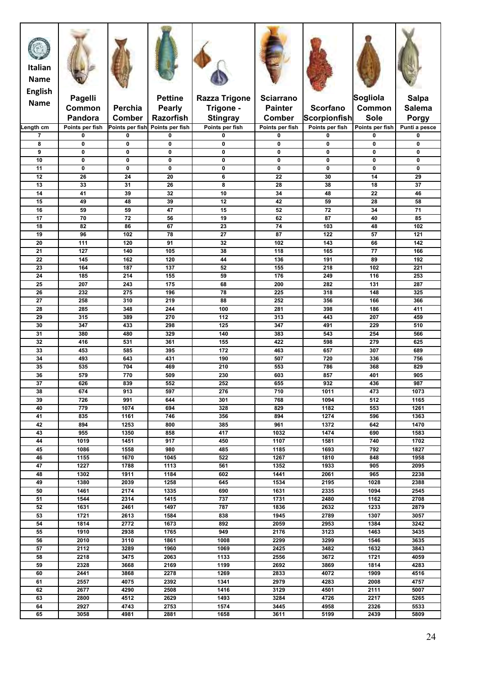| Italian<br><b>Name</b><br><b>English</b> |                            |                                  |                                     |                                    |                           |                                        |                                |                               |
|------------------------------------------|----------------------------|----------------------------------|-------------------------------------|------------------------------------|---------------------------|----------------------------------------|--------------------------------|-------------------------------|
| <b>Name</b>                              | Pagelli                    |                                  | <b>Pettine</b>                      | <b>Razza Trigone</b>               | <b>Sciarrano</b>          |                                        | Sogliola                       | <b>Salpa</b>                  |
|                                          | Common                     | Perchia                          | <b>Pearly</b>                       | Trigone -                          | <b>Painter</b>            | <b>Scorfano</b>                        | Common                         | <b>Salema</b>                 |
| Length cm                                | Pandora<br>Points per fish | <b>Comber</b><br>Points per fish | <b>Razorfish</b><br>Points per fish | <b>Stingray</b><br>Points per fish | Comber<br>Points per fish | <b>Scorpionfish</b><br>Points per fish | <b>Sole</b><br>Points per fish | <b>Porgy</b><br>Punti a pesce |
| 7                                        | 0                          | 0                                | 0                                   | 0                                  | 0                         | 0                                      | 0                              | 0                             |
| 8                                        | 0                          | 0                                | 0                                   | 0                                  | 0                         | 0                                      | $\mathbf 0$                    | 0                             |
| 9<br>10                                  | 0<br>0                     | 0<br>0                           | 0<br>$\mathbf 0$                    | 0<br>0                             | 0<br>0                    | $\mathbf 0$<br>$\mathbf 0$             | $\mathbf{0}$<br>0              | 0<br>0                        |
| 11                                       | 0                          | 0                                | $\mathbf 0$                         | 0                                  | $\mathbf 0$               | $\mathbf 0$                            | $\mathbf 0$                    | $\mathbf 0$                   |
| 12                                       | 26                         | 24                               | 20                                  | 6                                  | 22                        | 30                                     | 14                             | 29                            |
| 13                                       | 33                         | 31                               | 26                                  | 8                                  | 28                        | 38                                     | 18                             | 37                            |
| 14<br>15                                 | 41<br>49                   | 39<br>48                         | 32<br>39                            | 10<br>12                           | 34<br>42                  | 48<br>59                               | 22<br>28                       | 46<br>58                      |
| 16                                       | 59                         | 59                               | 47                                  | 15                                 | 52                        | 72                                     | 34                             | 71                            |
| 17                                       | 70                         | 72                               | 56                                  | 19                                 | 62                        | 87                                     | 40                             | 85                            |
| 18                                       | 82                         | 86                               | 67                                  | 23                                 | 74                        | 103                                    | 48                             | 102                           |
| 19<br>20                                 | 96<br>111                  | 102<br>120                       | 78<br>91                            | 27<br>32                           | 87<br>102                 | 122<br>143                             | 57<br>66                       | 121<br>142                    |
| 21                                       | 127                        | 140                              | 105                                 | 38                                 | 118                       | 165                                    | 77                             | 166                           |
| 22                                       | 145                        | 162                              | 120                                 | 44                                 | 136                       | 191                                    | 89                             | 192                           |
| 23<br>24                                 | 164<br>185                 | 187<br>214                       | 137<br>155                          | 52<br>59                           | 155<br>176                | 218<br>249                             | 102<br>116                     | 221<br>253                    |
| 25                                       | 207                        | 243                              | 175                                 | 68                                 | 200                       | 282                                    | 131                            | 287                           |
| 26                                       | 232                        | 275                              | 196                                 | 78                                 | 225                       | 318                                    | 148                            | 325                           |
| 27                                       | 258                        | 310                              | 219                                 | 88                                 | 252                       | 356                                    | 166                            | 366                           |
| 28<br>29                                 | 285<br>315                 | 348<br>389                       | 244<br>270                          | 100<br>112                         | 281<br>313                | 398<br>443                             | 186<br>207                     | 411<br>459                    |
| 30                                       | 347                        | 433                              | 298                                 | 125                                | 347                       | 491                                    | 229                            | 510                           |
| 31                                       | 380                        | 480                              | 329                                 | 140                                | 383                       | 543                                    | 254                            | 566                           |
| 32<br>33                                 | 416<br>453                 | 531<br>585                       | 361<br>395                          | 155<br>172                         | 422<br>463                | 598<br>657                             | 279<br>307                     | 625<br>689                    |
| 34                                       | 493                        | 643                              | 431                                 | 190                                | 507                       | 720                                    | 336                            | 756                           |
| 35                                       | 535                        | 704                              | 469                                 | 210                                | 553                       | 786                                    | 368                            | 829                           |
| 36                                       | 579                        | 770                              | 509                                 | 230                                | 603                       | 857                                    | 401                            | 905                           |
| $\overline{37}$<br>38                    | 626<br>674                 | 839<br>913                       | 552<br>597                          | 252<br>276                         | 655<br>710                | 932<br>1011                            | 436<br>473                     | 987<br>1073                   |
| 39                                       | 726                        | 991                              | 644                                 | 301                                | 768                       | 1094                                   | 512                            | 1165                          |
| 40                                       | 779                        | 1074                             | 694                                 | 328                                | 829                       | 1182                                   | 553                            | 1261                          |
| 41                                       | 835                        | 1161                             | 746                                 | 356                                | 894                       | 1274                                   | 596                            | 1363                          |
| 42<br>43                                 | 894<br>955                 | 1253<br>1350                     | 800<br>858                          | 385<br>417                         | 961<br>1032               | 1372<br>1474                           | 642<br>690                     | 1470<br>1583                  |
| 44                                       | 1019                       | 1451                             | 917                                 | 450                                | 1107                      | 1581                                   | 740                            | 1702                          |
| 45                                       | 1086                       | 1558                             | 980                                 | 485                                | 1185                      | 1693                                   | 792                            | 1827                          |
| 46<br>47                                 | 1155<br>1227               | 1670<br>1788                     | 1045<br>1113                        | 522<br>561                         | 1267<br>1352              | 1810<br>1933                           | 848<br>905                     | 1958<br>2095                  |
| 48                                       | 1302                       | 1911                             | 1184                                | 602                                | 1441                      | 2061                                   | 965                            | 2238                          |
| 49                                       | 1380                       | 2039                             | 1258                                | 645                                | 1534                      | 2195                                   | 1028                           | 2388                          |
| 50                                       | 1461                       | 2174                             | 1335                                | 690                                | 1631                      | 2335                                   | 1094                           | 2545                          |
| 51<br>52                                 | 1544<br>1631               | 2314<br>2461                     | 1415<br>1497                        | 737<br>787                         | 1731<br>1836              | 2480<br>2632                           | 1162<br>1233                   | 2708<br>2879                  |
| 53                                       | 1721                       | 2613                             | 1584                                | 838                                | 1945                      | 2789                                   | 1307                           | 3057                          |
| 54                                       | 1814                       | 2772                             | 1673                                | 892                                | 2059                      | 2953                                   | 1384                           | 3242                          |
| 55                                       | 1910                       | 2938                             | 1765                                | 949                                | 2176                      | 3123                                   | 1463                           | 3435                          |
| 56<br>57                                 | 2010<br>2112               | 3110<br>3289                     | 1861<br>1960                        | 1008<br>1069                       | 2299<br>2425              | 3299<br>3482                           | 1546<br>1632                   | 3635<br>3843                  |
| 58                                       | 2218                       | 3475                             | 2063                                | 1133                               | 2556                      | 3672                                   | 1721                           | 4059                          |
| 59                                       | 2328                       | 3668                             | 2169                                | 1199                               | 2692                      | 3869                                   | 1814                           | 4283                          |
| 60                                       | 2441                       | 3868                             | 2278                                | 1269                               | 2833                      | 4072                                   | 1909                           | 4516                          |
| 61<br>62                                 | 2557<br>2677               | 4075<br>4290                     | 2392<br>2508                        | 1341<br>1416                       | 2979<br>3129              | 4283<br>4501                           | 2008<br>2111                   | 4757<br>5007                  |
| 63                                       | 2800                       | 4512                             | 2629                                | 1493                               | 3284                      | 4726                                   | 2217                           | 5265                          |
| 64                                       | 2927                       | 4743                             | 2753                                | 1574                               | 3445                      | 4958                                   | 2326                           | 5533                          |
| 65                                       | 3058                       | 4981                             | 2881                                | 1658                               | 3611                      | 5199                                   | 2439                           | 5809                          |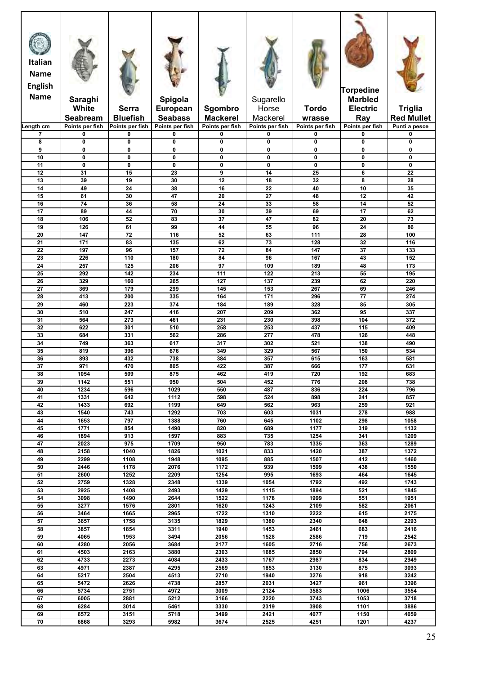| <b>Italian</b><br><b>Name</b><br><b>English</b><br><b>Name</b> | Saraghi<br>White            | <b>Serra</b>                | Spigola<br><b>European</b> |                            | Sugarello<br>Horse | <b>Tordo</b>     | <b>Torpedine</b><br><b>Marbled</b><br><b>Electric</b> | <b>Triglia</b>    |
|----------------------------------------------------------------|-----------------------------|-----------------------------|----------------------------|----------------------------|--------------------|------------------|-------------------------------------------------------|-------------------|
|                                                                | Seabream                    | <b>Bluefish</b>             | <b>Seabass</b>             | Sgombro<br><b>Mackerel</b> | Mackerel           | wrasse           | Ray                                                   | <b>Red Mullet</b> |
| Length cm                                                      | Points per fish             | Points per fish             | Points per fish            | Points per fish            | Points per fish    | Points per fish  | Points per fish                                       | Punti a pesce     |
| $\overline{7}$                                                 | 0                           | $\mathbf 0$                 | 0                          | 0                          | 0                  | 0                | 0                                                     | 0                 |
| 8                                                              | 0                           | $\mathbf 0$                 | 0                          | 0                          | 0                  | $\mathbf 0$      | 0                                                     | 0                 |
| 9                                                              | $\mathbf 0$                 | $\mathbf 0$                 | 0                          | 0                          | 0                  | $\mathbf 0$      | 0                                                     | 0                 |
| 10<br>11                                                       | $\mathbf{0}$<br>$\mathbf 0$ | $\mathbf{0}$<br>$\mathbf 0$ | $\mathbf{0}$<br>0          | 0<br>0                     | 0<br>0             | 0<br>$\mathbf 0$ | 0<br>0                                                | 0<br>0            |
| 12                                                             | 31                          | 15                          | 23                         | 9                          | 14                 | 25               | 6                                                     | 22                |
| 13                                                             | 39                          | 19                          | 30                         | 12                         | 18                 | 32               | 8                                                     | 28                |
| 14                                                             | 49                          | 24                          | 38                         | 16                         | 22                 | 40               | 10                                                    | 35                |
| 15                                                             | 61                          | 30                          | 47                         | 20                         | 27                 | 48               | 12                                                    | 42                |
| 16<br>17                                                       | 74<br>89                    | 36<br>44                    | 58<br>70                   | 24<br>30                   | 33<br>39           | 58<br>69         | 14<br>17                                              | 52<br>62          |
| 18                                                             | 106                         | 52                          | 83                         | $\overline{37}$            | 47                 | 82               | 20                                                    | $\overline{73}$   |
| 19                                                             | 126                         | 61                          | 99                         | 44                         | 55                 | 96               | 24                                                    | 86                |
| 20                                                             | 147                         | 72                          | 116                        | 52                         | 63                 | 111              | 28                                                    | 100               |
| 21                                                             | 171                         | 83                          | 135                        | 62                         | 73                 | 128              | 32                                                    | 116               |
| 22                                                             | 197                         | 96                          | 157                        | 72                         | 84                 | 147              | 37                                                    | 133               |
| 23<br>24                                                       | 226<br>257                  | 110<br>125                  | 180<br>206                 | 84<br>97                   | 96<br>109          | 167<br>189       | 43<br>48                                              | 152<br>173        |
| 25                                                             | 292                         | 142                         | 234                        | 111                        | 122                | 213              | 55                                                    | 195               |
| 26                                                             | 329                         | 160                         | 265                        | 127                        | 137                | 239              | 62                                                    | 220               |
| 27                                                             | 369                         | 179                         | 299                        | 145                        | 153                | 267              | 69                                                    | 246               |
| 28                                                             | 413                         | 200                         | 335                        | 164                        | 171                | 296              | 77                                                    | 274               |
| 29                                                             | 460                         | 223                         | 374                        | 184                        | 189                | 328              | 85                                                    | 305               |
| 30<br>31                                                       | 510<br>564                  | 247<br>273                  | 416<br>461                 | 207<br>231                 | 209<br>230         | 362<br>398       | 95<br>104                                             | 337<br>372        |
| 32                                                             | 622                         | 301                         | 510                        | 258                        | 253                | 437              | 115                                                   | 409               |
| 33                                                             | 684                         | 331                         | 562                        | 286                        | 277                | 478              | 126                                                   | 448               |
| 34                                                             | 749                         | 363                         | 617                        | 317                        | 302                | 521              | 138                                                   | 490               |
| 35                                                             | 819                         | 396                         | 676                        | 349                        | 329                | 567              | 150                                                   | 534               |
| 36                                                             | 893                         | 432                         | 738                        | 384                        | 357                | 615              | 163                                                   | 581               |
| 37<br>38                                                       | 971<br>1054                 | 470<br>509                  | 805<br>875                 | 422<br>462                 | 387<br>419         | 666<br>720       | 177<br>192                                            | 631<br>683        |
| 39                                                             | 1142                        | 551                         | 950                        | 504                        | 452                | 776              | 208                                                   | 738               |
| 40                                                             | 1234                        | 596                         | 1029                       | 550                        | 487                | 836              | 224                                                   | 796               |
| 41                                                             | 1331                        | 642                         | 1112                       | 598                        | 524                | 898              | 241                                                   | 857               |
| 42                                                             | 1433                        | 692                         | 1199                       | 649                        | 562                | 963              | 259                                                   | 921               |
| 43                                                             | 1540                        | 743                         | 1292                       | 703                        | 603                | 1031             | 278                                                   | 988               |
| 44<br>45                                                       | 1653<br>1771                | 797<br>854                  | 1388<br>1490               | 760<br>820                 | 645<br>689         | 1102<br>1177     | 298<br>319                                            | 1058<br>1132      |
| 46                                                             | 1894                        | 913                         | 1597                       | 883                        | 735                | 1254             | 341                                                   | 1209              |
| 47                                                             | 2023                        | 975                         | 1709                       | 950                        | 783                | 1335             | 363                                                   | 1289              |
| 48                                                             | 2158                        | 1040                        | 1826                       | 1021                       | 833                | 1420             | 387                                                   | 1372              |
| 49                                                             | 2299                        | 1108                        | 1948                       | 1095                       | 885                | 1507             | 412                                                   | 1460              |
| 50<br>51                                                       | 2446<br>2600                | 1178<br>1252                | 2076<br>2209               | 1172<br>1254               | 939<br>995         | 1599<br>1693     | 438<br>464                                            | 1550<br>1645      |
| 52                                                             | 2759                        | 1328                        | 2348                       | 1339                       | 1054               | 1792             | 492                                                   | 1743              |
| 53                                                             | 2925                        | 1408                        | 2493                       | 1429                       | 1115               | 1894             | 521                                                   | 1845              |
| 54                                                             | 3098                        | 1490                        | 2644                       | 1522                       | 1178               | 1999             | 551                                                   | 1951              |
| 55                                                             | 3277                        | 1576                        | 2801                       | 1620                       | 1243               | 2109             | 582                                                   | 2061              |
| 56<br>57                                                       | 3464<br>3657                | 1665<br>1758                | 2965<br>3135               | 1722<br>1829               | 1310<br>1380       | 2222<br>2340     | 615<br>648                                            | 2175<br>2293      |
| 58                                                             | 3857                        | 1854                        | 3311                       | 1940                       | 1453               | 2461             | 683                                                   | 2416              |
| 59                                                             | 4065                        | 1953                        | 3494                       | 2056                       | 1528               | 2586             | 719                                                   | 2542              |
| 60                                                             | 4280                        | 2056                        | 3684                       | 2177                       | 1605               | 2716             | 756                                                   | 2673              |
| 61                                                             | 4503                        | 2163                        | 3880                       | 2303                       | 1685               | 2850             | 794                                                   | 2809              |
| 62                                                             | 4733                        | 2273                        | 4084                       | 2433                       | 1767               | 2987             | 834                                                   | 2949              |
| 63<br>64                                                       | 4971<br>5217                | 2387<br>2504                | 4295<br>4513               | 2569<br>2710               | 1853<br>1940       | 3130<br>3276     | 875<br>918                                            | 3093<br>3242      |
| 65                                                             | 5472                        | 2626                        | 4738                       | 2857                       | 2031               | 3427             | 961                                                   | 3396              |
| 66                                                             | 5734                        | 2751                        | 4972                       | 3009                       | 2124               | 3583             | 1006                                                  | 3554              |
| 67                                                             | 6005                        | 2881                        | 5212                       | 3166                       | 2220               | 3743             | 1053                                                  | 3718              |
| 68                                                             | 6284                        | 3014                        | 5461                       | 3330                       | 2319               | 3908             | 1101                                                  | 3886              |
| 69                                                             | 6572                        | 3151                        | 5718                       | 3499                       | 2421               | 4077             | 1150                                                  | 4059              |
| 70                                                             | 6868                        | 3293                        | 5982                       | 3674                       | 2525               | 4251             | 1201                                                  | 4237              |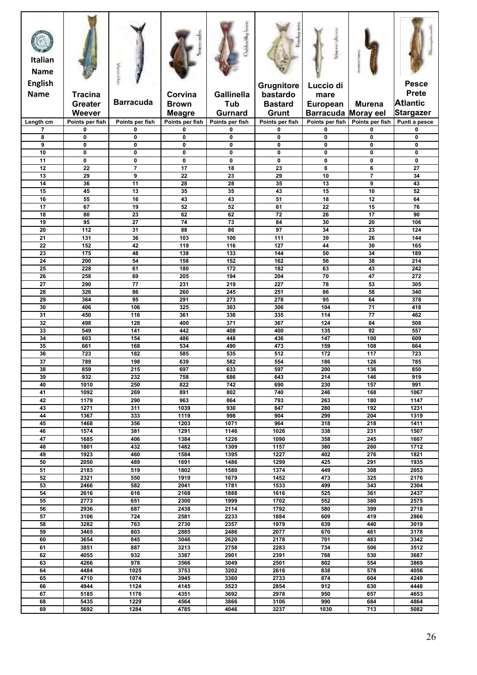| <b>Italian</b><br><b>Name</b><br><b>English</b> |                            |                                        |                         |                          | Grugnitore                 | Luccio di                  |                            | <b>Pesce</b>                    |
|-------------------------------------------------|----------------------------|----------------------------------------|-------------------------|--------------------------|----------------------------|----------------------------|----------------------------|---------------------------------|
| <b>Name</b>                                     | <b>Tracina</b><br>Greater  | <b>Barracuda</b>                       | Corvina<br><b>Brown</b> | <b>Gallinella</b><br>Tub | bastardo<br><b>Bastard</b> | mare<br><b>European</b>    | <b>Murena</b>              | <b>Prete</b><br><b>Atlantic</b> |
|                                                 | Weever                     |                                        | <b>Meagre</b>           | <b>Gurnard</b>           | Grunt                      | <b>Barracuda Moray eel</b> |                            | <b>Stargazer</b>                |
| Length cm                                       | Points per fish            | Points per fish                        | Points per fish         | Points per fish          | Points per fish            | Points per fish            | Points per fish            | Punti a pesce                   |
| $\overline{7}$<br>8                             | $\mathbf 0$<br>$\mathbf 0$ | $\mathbf 0$<br>$\mathbf{0}$            | 0<br>0                  | 0<br>$\mathbf 0$         | $\mathbf 0$<br>$\mathbf 0$ | 0<br>$\mathbf 0$           | $\mathbf 0$<br>$\mathbf 0$ | $\mathbf 0$<br>$\mathbf 0$      |
| 9                                               | $\mathbf 0$                | 0                                      | $\mathbf 0$             | $\mathbf 0$              | $\mathbf 0$                | $\mathbf 0$                | $\mathbf 0$                | $\mathbf 0$                     |
| 10                                              | $\mathbf{0}$               | $\mathbf{0}$                           | $\mathbf{0}$            | 0                        | $\mathbf 0$                | 0                          | $\mathbf{0}$               | 0                               |
| 11<br>12                                        | 0<br>22                    | $\mathbf 0$<br>$\overline{\mathbf{z}}$ | 0<br>17                 | $\mathbf 0$<br>18        | $\mathbf 0$<br>23          | 0<br>8                     | $\mathbf 0$<br>6           | $\mathbf 0$<br>$\overline{27}$  |
| 13                                              | 29                         | 9                                      | 22                      | 23                       | 29                         | 10                         | $\overline{7}$             | 34                              |
| 14                                              | 36                         | 11                                     | 28                      | 28                       | 35                         | 13                         | 9                          | 43                              |
| 15                                              | 45                         | 13                                     | 35                      | 35                       | 43                         | 15                         | 10                         | 52                              |
| 16<br>17                                        | 55<br>67                   | 16<br>19                               | 43<br>52                | 43<br>52                 | 51<br>61                   | 18<br>22                   | 12<br>15                   | 64<br>76                        |
| 18                                              | 80                         | 23                                     | 62                      | 62                       | 72                         | 26                         | $\overline{17}$            | 90                              |
| 19                                              | 95                         | $\overline{27}$                        | 74                      | 73                       | 84                         | 30                         | 20                         | 106                             |
| 20                                              | $\frac{1}{112}$            | 31                                     | 88                      | 86                       | 97                         | 34                         | $\overline{23}$            | 124                             |
| 21<br>$\overline{22}$                           | 131<br>152                 | 36<br>42                               | 103<br>119              | 100<br>116               | 111<br>127                 | 39<br>44                   | 26<br>30                   | 144<br>165                      |
| 23                                              | 175                        | 48                                     | 138                     | 133                      | 144                        | 50                         | 34                         | 189                             |
| 24                                              | 200                        | 54                                     | 158                     | 152                      | 162                        | 56                         | 38                         | 214                             |
| 25<br>26                                        | 228<br>258                 | 61<br>69                               | 180<br>205              | 172<br>194               | 182<br>204                 | 63<br>70                   | 43<br>47                   | 242<br>272                      |
| 27                                              | 290                        | $\overline{77}$                        | 231                     | 219                      | 227                        | 78                         | 53                         | 305                             |
| 28                                              | 326                        | 86                                     | 260                     | 245                      | 251                        | 86                         | 58                         | 340                             |
| 29                                              | 364                        | 95                                     | 291                     | 273                      | 278                        | 95                         | 64                         | 378                             |
| 30<br>31                                        | 406<br>450                 | 106<br>116                             | 325<br>361              | 303<br>336               | 306<br>335                 | 104<br>114                 | 71<br>77                   | 418<br>462                      |
| 32                                              | 498                        | 128                                    | 400                     | 371                      | 367                        | 124                        | 84                         | 508                             |
| 33                                              | 549                        | 141                                    | 442                     | 408                      | 400                        | 135                        | 92                         | 557                             |
| 34                                              | 603                        | 154                                    | 486                     | 448                      | 436                        | 147                        | 100                        | 609                             |
| 35<br>36                                        | 661<br>723                 | 168<br>182                             | 534<br>585              | 490<br>535               | 473<br>512                 | 159<br>172                 | 108<br>117                 | 664<br>723                      |
| 37                                              | 789                        | 198                                    | 639                     | 582                      | 554                        | 186                        | 126                        | 785                             |
| 38                                              | 859                        | 215                                    | 697                     | 633                      | 597                        | 200                        | 136                        | 850                             |
| 39                                              | 932                        | 232                                    | 758                     | 686                      | 643                        | 214                        | 146                        | 919                             |
| 40<br>41                                        | $\frac{1}{1010}$<br>1092   | 250<br>269                             | 822<br>891              | 742<br>802               | 690<br>740                 | 230<br>246                 | 157<br>168                 | 991<br>1067                     |
| 42                                              | 1179                       | 290                                    | 963                     | 864                      | 793                        | 263                        | 180                        | 1147                            |
| 43                                              | 1271                       | 311                                    | 1039                    | 930                      | 847                        | 280                        | 192                        | 1231                            |
| 44<br>45                                        | 1367<br>1468               | 333<br>356                             | 1119<br>1203            | 998<br>1071              | 904<br>964                 | 299<br>318                 | 204<br>218                 | 1319<br>1411                    |
| 46                                              | 1574                       | 381                                    | 1291                    | 1146                     | 1026                       | 338                        | 231                        | 1507                            |
| 47                                              | 1685                       | 406                                    | 1384                    | 1226                     | 1090                       | 358                        | 245                        | 1607                            |
| 48                                              | 1801                       | 432                                    | 1482                    | 1309                     | 1157                       | 380                        | 260                        | 1712                            |
| 49<br>50                                        | 1923<br>2050               | 460<br>489                             | 1584<br>1691            | 1395<br>1486             | 1227<br>1299               | 402<br>425                 | 276<br>291                 | 1821<br>1935                    |
| 51                                              | 2183                       | 519                                    | 1802                    | 1580                     | 1374                       | 449                        | 308                        | 2053                            |
| 52                                              | 2321                       | 550                                    | 1919                    | 1679                     | 1452                       | 473                        | 325                        | 2176                            |
| 53<br>54                                        | 2466<br>2616               | 582<br>616                             | 2041<br>2168            | 1781<br>1888             | 1533<br>1616               | 499<br>525                 | 343<br>361                 | 2304<br>2437                    |
| 55                                              | 2773                       | 651                                    | 2300                    | 1999                     | 1702                       | 552                        | 380                        | 2575                            |
| 56                                              | 2936                       | 687                                    | 2438                    | 2114                     | 1792                       | 580                        | 399                        | 2718                            |
| 57                                              | 3106                       | 724                                    | 2581                    | 2233                     | 1884                       | 609                        | 419                        | 2866                            |
| 58<br>59                                        | 3282<br>3465               | 763<br>803                             | 2730<br>2885            | 2357<br>2486             | 1979<br>2077               | 639<br>670                 | 440<br>461                 | 3019<br>3178                    |
| 60                                              | 3654                       | 845                                    | 3046                    | 2620                     | 2178                       | 701                        | 483                        | 3342                            |
| 61                                              | 3851                       | 887                                    | 3213                    | 2758                     | 2283                       | 734                        | 506                        | 3512                            |
| 62                                              | 4055                       | 932                                    | 3387                    | 2901                     | 2391                       | 768                        | 530                        | 3687                            |
| 63<br>64                                        | 4266<br>4484               | 978<br>1025                            | 3566<br>3753            | 3049<br>3202             | 2501<br>2616               | 802<br>838                 | 554<br>578                 | 3869<br>4056                    |
| 65                                              | 4710                       | 1074                                   | 3945                    | 3360                     | 2733                       | 874                        | 604                        | 4249                            |
| 66                                              | 4944                       | 1124                                   | 4145                    | 3523                     | 2854                       | 912                        | 630                        | 4448                            |
| 67                                              | 5185                       | 1176                                   | 4351                    | 3692                     | 2978                       | 950                        | 657                        | 4653                            |
| 68<br>69                                        | 5435<br>5692               | 1229<br>1284                           | 4564<br>4785            | 3866<br>4046             | 3106<br>3237               | 990<br>1030                | 684<br>713                 | 4864<br>5082                    |
|                                                 |                            |                                        |                         |                          |                            |                            |                            |                                 |